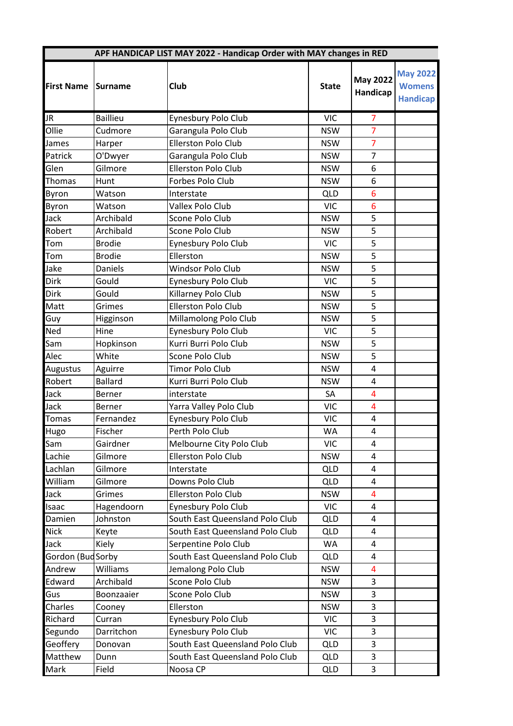|                   |                 |                                 | APF HANDICAP LIST MAY 2022 - Handicap Order with MAY changes in RED |                             |                                                     |  |  |  |
|-------------------|-----------------|---------------------------------|---------------------------------------------------------------------|-----------------------------|-----------------------------------------------------|--|--|--|
| <b>First Name</b> | <b>Surname</b>  | Club                            | <b>State</b>                                                        | <b>May 2022</b><br>Handicap | <b>May 2022</b><br><b>Womens</b><br><b>Handicap</b> |  |  |  |
| <b>JR</b>         | <b>Baillieu</b> | Eynesbury Polo Club             | <b>VIC</b>                                                          | $\overline{7}$              |                                                     |  |  |  |
| Ollie             | Cudmore         | Garangula Polo Club             | <b>NSW</b>                                                          | $\overline{7}$              |                                                     |  |  |  |
| James             | Harper          | Ellerston Polo Club             | <b>NSW</b>                                                          | $\overline{7}$              |                                                     |  |  |  |
| Patrick           | O'Dwyer         | Garangula Polo Club             | <b>NSW</b>                                                          | $\overline{7}$              |                                                     |  |  |  |
| Glen              | Gilmore         | Ellerston Polo Club             | <b>NSW</b>                                                          | 6                           |                                                     |  |  |  |
| Thomas            | Hunt            | Forbes Polo Club                | <b>NSW</b>                                                          | 6                           |                                                     |  |  |  |
| Byron             | Watson          | Interstate                      | <b>QLD</b>                                                          | 6                           |                                                     |  |  |  |
| Byron             | Watson          | Vallex Polo Club                | <b>VIC</b>                                                          | 6                           |                                                     |  |  |  |
| Jack              | Archibald       | Scone Polo Club                 | <b>NSW</b>                                                          | 5                           |                                                     |  |  |  |
| Robert            | Archibald       | Scone Polo Club                 | <b>NSW</b>                                                          | 5                           |                                                     |  |  |  |
| Tom               | <b>Brodie</b>   | Eynesbury Polo Club             | <b>VIC</b>                                                          | 5                           |                                                     |  |  |  |
| Tom               | <b>Brodie</b>   | Ellerston                       | <b>NSW</b>                                                          | 5                           |                                                     |  |  |  |
| Jake              | <b>Daniels</b>  | <b>Windsor Polo Club</b>        | <b>NSW</b>                                                          | $\overline{5}$              |                                                     |  |  |  |
| <b>Dirk</b>       | Gould           | Eynesbury Polo Club             | <b>VIC</b>                                                          | 5                           |                                                     |  |  |  |
| <b>Dirk</b>       | Gould           | Killarney Polo Club             | <b>NSW</b>                                                          | 5                           |                                                     |  |  |  |
| Matt              | Grimes          | <b>Ellerston Polo Club</b>      | <b>NSW</b>                                                          | 5                           |                                                     |  |  |  |
| Guy               | Higginson       | Millamolong Polo Club           | <b>NSW</b>                                                          | 5                           |                                                     |  |  |  |
| Ned               | Hine            | Eynesbury Polo Club             | <b>VIC</b>                                                          | 5                           |                                                     |  |  |  |
| Sam               | Hopkinson       | Kurri Burri Polo Club           | <b>NSW</b>                                                          | 5                           |                                                     |  |  |  |
| Alec              | White           | Scone Polo Club                 | <b>NSW</b>                                                          | 5                           |                                                     |  |  |  |
| Augustus          | Aguirre         | <b>Timor Polo Club</b>          | <b>NSW</b>                                                          | 4                           |                                                     |  |  |  |
| Robert            | <b>Ballard</b>  | Kurri Burri Polo Club           | <b>NSW</b>                                                          | 4                           |                                                     |  |  |  |
| Jack              | Berner          | interstate                      | SA                                                                  | 4                           |                                                     |  |  |  |
| Jack              | <b>Berner</b>   | Yarra Valley Polo Club          | <b>VIC</b>                                                          | 4                           |                                                     |  |  |  |
| <b>Tomas</b>      | Fernandez       | Eynesbury Polo Club             | <b>VIC</b>                                                          | 4                           |                                                     |  |  |  |
| Hugo              | Fischer         | Perth Polo Club                 | WA                                                                  | 4                           |                                                     |  |  |  |
| Sam               | Gairdner        | Melbourne City Polo Club        | <b>VIC</b>                                                          | 4                           |                                                     |  |  |  |
| Lachie            | Gilmore         | Ellerston Polo Club             | <b>NSW</b>                                                          | 4                           |                                                     |  |  |  |
| Lachlan           | Gilmore         | Interstate                      | <b>QLD</b>                                                          | 4                           |                                                     |  |  |  |
| William           | Gilmore         | Downs Polo Club                 | <b>QLD</b>                                                          | 4                           |                                                     |  |  |  |
| Jack              | Grimes          | Ellerston Polo Club             | <b>NSW</b>                                                          | 4                           |                                                     |  |  |  |
| Isaac             | Hagendoorn      | Eynesbury Polo Club             | <b>VIC</b>                                                          | 4                           |                                                     |  |  |  |
| Damien            | Johnston        | South East Queensland Polo Club | <b>QLD</b>                                                          | 4                           |                                                     |  |  |  |
| <b>Nick</b>       | Keyte           | South East Queensland Polo Club | <b>QLD</b>                                                          | 4                           |                                                     |  |  |  |
| Jack              | Kiely           | Serpentine Polo Club            | WA                                                                  | 4                           |                                                     |  |  |  |
| Gordon (BudSorby  |                 | South East Queensland Polo Club | <b>QLD</b>                                                          | 4                           |                                                     |  |  |  |
| Andrew            | Williams        | Jemalong Polo Club              | <b>NSW</b>                                                          | 4                           |                                                     |  |  |  |
| Edward            | Archibald       | Scone Polo Club                 | <b>NSW</b>                                                          | $\overline{3}$              |                                                     |  |  |  |
| Gus               | Boonzaaier      | Scone Polo Club                 | <b>NSW</b>                                                          | 3                           |                                                     |  |  |  |
| Charles           | Cooney          | Ellerston                       | <b>NSW</b>                                                          | 3                           |                                                     |  |  |  |
| Richard           | Curran          | Eynesbury Polo Club             | <b>VIC</b>                                                          | 3                           |                                                     |  |  |  |
| Segundo           | Darritchon      | Eynesbury Polo Club             | <b>VIC</b>                                                          | 3                           |                                                     |  |  |  |
| Geoffery          | Donovan         | South East Queensland Polo Club | <b>QLD</b>                                                          | 3                           |                                                     |  |  |  |
| Matthew           | Dunn            | South East Queensland Polo Club | <b>QLD</b>                                                          | 3                           |                                                     |  |  |  |
| Mark              | Field           | Noosa CP                        | <b>QLD</b>                                                          | 3                           |                                                     |  |  |  |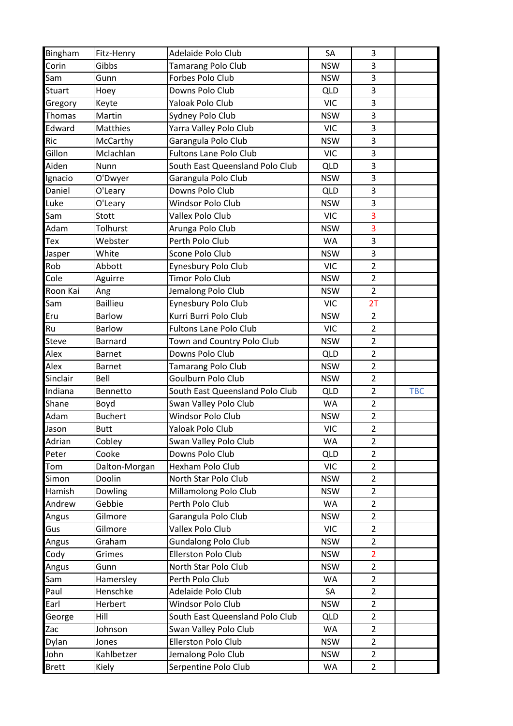| <b>Bingham</b> | Fitz-Henry      | Adelaide Polo Club              | SA         | 3              |            |
|----------------|-----------------|---------------------------------|------------|----------------|------------|
| Corin          | Gibbs           | <b>Tamarang Polo Club</b>       | <b>NSW</b> | 3              |            |
| Sam            | Gunn            | Forbes Polo Club                | <b>NSW</b> | 3              |            |
| <b>Stuart</b>  | Hoey            | Downs Polo Club                 | <b>QLD</b> | 3              |            |
| Gregory        | Keyte           | Yaloak Polo Club                | <b>VIC</b> | 3              |            |
| <b>Thomas</b>  | Martin          | Sydney Polo Club                | <b>NSW</b> | 3              |            |
| Edward         | <b>Matthies</b> | Yarra Valley Polo Club          | <b>VIC</b> | $\overline{3}$ |            |
| Ric            | McCarthy        | Garangula Polo Club             | <b>NSW</b> | 3              |            |
| Gillon         | Mclachlan       | <b>Fultons Lane Polo Club</b>   | <b>VIC</b> | 3              |            |
| Aiden          | Nunn            | South East Queensland Polo Club | <b>QLD</b> | 3              |            |
| Ignacio        | O'Dwyer         | Garangula Polo Club             | <b>NSW</b> | 3              |            |
| Daniel         | O'Leary         | Downs Polo Club                 | <b>QLD</b> | 3              |            |
| Luke           | O'Leary         | Windsor Polo Club               | <b>NSW</b> | $\mathsf{3}$   |            |
| Sam            | Stott           | Vallex Polo Club                | <b>VIC</b> | 3              |            |
| Adam           | Tolhurst        | Arunga Polo Club                | <b>NSW</b> | 3              |            |
| Tex            | Webster         | Perth Polo Club                 | WA         | 3              |            |
| Jasper         | White           | Scone Polo Club                 | <b>NSW</b> | 3              |            |
| Rob            | Abbott          | Eynesbury Polo Club             | <b>VIC</b> | $\overline{2}$ |            |
| Cole           | Aguirre         | <b>Timor Polo Club</b>          | <b>NSW</b> | $\overline{2}$ |            |
| Roon Kai       | Ang             | Jemalong Polo Club              | <b>NSW</b> | $\overline{2}$ |            |
| Sam            | <b>Baillieu</b> | Eynesbury Polo Club             | <b>VIC</b> | 2T             |            |
| Eru            | <b>Barlow</b>   | Kurri Burri Polo Club           | <b>NSW</b> | $\overline{2}$ |            |
| Ru             | <b>Barlow</b>   | <b>Fultons Lane Polo Club</b>   | <b>VIC</b> | $\overline{2}$ |            |
| <b>Steve</b>   | <b>Barnard</b>  | Town and Country Polo Club      | <b>NSW</b> | $\overline{2}$ |            |
| Alex           | <b>Barnet</b>   | Downs Polo Club                 | <b>QLD</b> | $\overline{2}$ |            |
| Alex           | <b>Barnet</b>   | Tamarang Polo Club              | <b>NSW</b> | $\overline{2}$ |            |
| Sinclair       | Bell            | Goulburn Polo Club              | <b>NSW</b> | $\overline{2}$ |            |
| Indiana        | Bennetto        | South East Queensland Polo Club | <b>QLD</b> | $\overline{2}$ | <b>TBC</b> |
| Shane          | Boyd            | Swan Valley Polo Club           | WA         | $\overline{2}$ |            |
| Adam           | <b>Buchert</b>  | Windsor Polo Club               | <b>NSW</b> | $\overline{2}$ |            |
| Jason          | <b>Butt</b>     | Yaloak Polo Club                | <b>VIC</b> | $\overline{2}$ |            |
| Adrian         | Cobley          | Swan Valley Polo Club           | WA         | $\overline{2}$ |            |
| Peter          | Cooke           | Downs Polo Club                 | <b>QLD</b> | $\overline{2}$ |            |
| Tom            | Dalton-Morgan   | Hexham Polo Club                | <b>VIC</b> | $\overline{2}$ |            |
| Simon          | Doolin          | North Star Polo Club            | <b>NSW</b> | $\overline{2}$ |            |
| Hamish         | Dowling         | Millamolong Polo Club           | <b>NSW</b> | $\overline{2}$ |            |
| Andrew         | Gebbie          | Perth Polo Club                 | WA         | $\overline{2}$ |            |
| Angus          | Gilmore         | Garangula Polo Club             | <b>NSW</b> | $\overline{2}$ |            |
| Gus            | Gilmore         | Vallex Polo Club                | <b>VIC</b> | $\overline{2}$ |            |
| Angus          | Graham          | <b>Gundalong Polo Club</b>      | <b>NSW</b> | $\overline{2}$ |            |
| Cody           | Grimes          | Ellerston Polo Club             | <b>NSW</b> | $\overline{2}$ |            |
| Angus          | Gunn            | North Star Polo Club            | <b>NSW</b> | $\overline{2}$ |            |
| Sam            | Hamersley       | Perth Polo Club                 | WA         | $\overline{2}$ |            |
| Paul           | Henschke        | Adelaide Polo Club              | SA         | $\overline{2}$ |            |
| Earl           | Herbert         | Windsor Polo Club               | <b>NSW</b> | $\overline{2}$ |            |
| George         | Hill            | South East Queensland Polo Club | <b>QLD</b> | $\overline{2}$ |            |
| Zac            | Johnson         | Swan Valley Polo Club           | WA         | $\overline{2}$ |            |
| Dylan          | Jones           | Ellerston Polo Club             | <b>NSW</b> | $\overline{2}$ |            |
| John           | Kahlbetzer      | Jemalong Polo Club              | <b>NSW</b> | $\overline{2}$ |            |
| <b>Brett</b>   | Kiely           | Serpentine Polo Club            | WA         | $\overline{2}$ |            |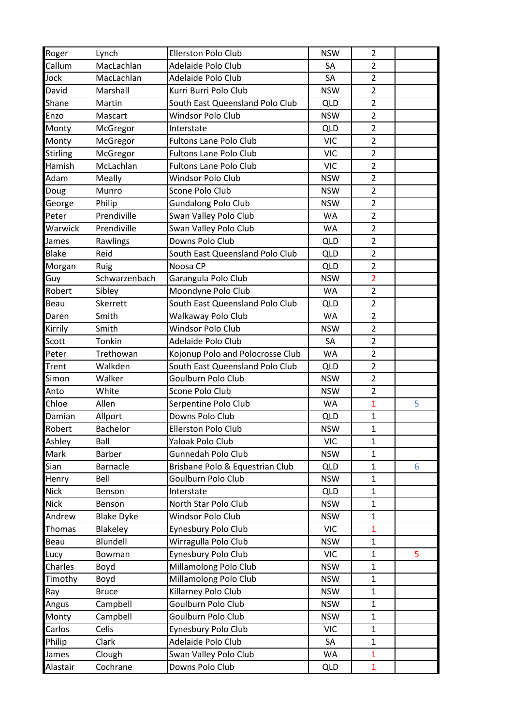| Roger           | Lynch             | <b>Ellerston Polo Club</b>       | <b>NSW</b> | 2              |   |
|-----------------|-------------------|----------------------------------|------------|----------------|---|
| Callum          | MacLachlan        | Adelaide Polo Club               | SA         | 2              |   |
| Jock            | MacLachlan        | Adelaide Polo Club               | SA         | $\overline{2}$ |   |
| David           | Marshall          | Kurri Burri Polo Club            | <b>NSW</b> | $\overline{2}$ |   |
| Shane           | Martin            | South East Queensland Polo Club  | <b>QLD</b> | $\overline{2}$ |   |
| Enzo            | Mascart           | Windsor Polo Club                | <b>NSW</b> | $\overline{2}$ |   |
| Monty           | McGregor          | Interstate                       | <b>QLD</b> | $\overline{2}$ |   |
| Monty           | McGregor          | <b>Fultons Lane Polo Club</b>    | <b>VIC</b> | $\overline{2}$ |   |
| <b>Stirling</b> | McGregor          | <b>Fultons Lane Polo Club</b>    | <b>VIC</b> | $\overline{2}$ |   |
| Hamish          | McLachlan         | <b>Fultons Lane Polo Club</b>    | <b>VIC</b> | $\overline{2}$ |   |
| Adam            | Meally            | Windsor Polo Club                | <b>NSW</b> | $\overline{2}$ |   |
| Doug            | Munro             | Scone Polo Club                  | <b>NSW</b> | $\overline{2}$ |   |
| George          | Philip            | <b>Gundalong Polo Club</b>       | <b>NSW</b> | $\overline{2}$ |   |
| Peter           | Prendiville       | Swan Valley Polo Club            | <b>WA</b>  | $\overline{2}$ |   |
| Warwick         | Prendiville       | Swan Valley Polo Club            | <b>WA</b>  | $\overline{2}$ |   |
| James           | Rawlings          | Downs Polo Club                  | <b>QLD</b> | $\overline{2}$ |   |
| <b>Blake</b>    | Reid              | South East Queensland Polo Club  | <b>QLD</b> | $\overline{2}$ |   |
| Morgan          | Ruig              | Noosa CP                         | <b>QLD</b> | $\overline{2}$ |   |
| Guy             | Schwarzenbach     | Garangula Polo Club              | <b>NSW</b> | $\overline{2}$ |   |
| Robert          | Sibley            | Moondyne Polo Club               | WA         | $\overline{2}$ |   |
| Beau            | Skerrett          | South East Queensland Polo Club  | <b>QLD</b> | $\overline{2}$ |   |
| Daren           | Smith             | Walkaway Polo Club               | WA         | $\overline{2}$ |   |
| Kirrily         | Smith             | Windsor Polo Club                | <b>NSW</b> | $\overline{2}$ |   |
| Scott           | Tonkin            | Adelaide Polo Club               | SA         | $\overline{2}$ |   |
| Peter           | Trethowan         | Kojonup Polo and Polocrosse Club | WA         | $\overline{2}$ |   |
| <b>Trent</b>    | Walkden           | South East Queensland Polo Club  | <b>QLD</b> | $\overline{2}$ |   |
| Simon           | Walker            | Goulburn Polo Club               | <b>NSW</b> | $\overline{2}$ |   |
| Anto            | White             | Scone Polo Club                  | <b>NSW</b> | $\overline{2}$ |   |
| Chloe           | Allen             | Serpentine Polo Club             | <b>WA</b>  | $\mathbf{1}$   | 5 |
| Damian          | Allport           | Downs Polo Club                  | <b>QLD</b> | $\mathbf{1}$   |   |
| Robert          | <b>Bachelor</b>   | <b>Ellerston Polo Club</b>       | <b>NSW</b> | $\mathbf{1}$   |   |
| Ashley          | Ball              | Yaloak Polo Club                 | <b>VIC</b> | $\mathbf{1}$   |   |
| Mark            | <b>Barber</b>     | Gunnedah Polo Club               | <b>NSW</b> | $\mathbf{1}$   |   |
| Sian            | Barnacle          | Brisbane Polo & Equestrian Club  | <b>QLD</b> | $\mathbf{1}$   | 6 |
| Henry           | Bell              | Goulburn Polo Club               | <b>NSW</b> | $\mathbf{1}$   |   |
| <b>Nick</b>     | Benson            | Interstate                       | <b>QLD</b> | $\mathbf{1}$   |   |
| <b>Nick</b>     | Benson            | North Star Polo Club             | <b>NSW</b> | $\mathbf{1}$   |   |
| Andrew          | <b>Blake Dyke</b> | <b>Windsor Polo Club</b>         | <b>NSW</b> | $\mathbf{1}$   |   |
| Thomas          | Blakeley          | Eynesbury Polo Club              | <b>VIC</b> | $\mathbf{1}$   |   |
| <b>Beau</b>     | Blundell          | Wirragulla Polo Club             | <b>NSW</b> | $\mathbf{1}$   |   |
| Lucy            | Bowman            | Eynesbury Polo Club              | <b>VIC</b> | $\mathbf{1}$   | 5 |
| Charles         | Boyd              | Millamolong Polo Club            | <b>NSW</b> | $\mathbf{1}$   |   |
| Timothy         | Boyd              | Millamolong Polo Club            | <b>NSW</b> | $\mathbf{1}$   |   |
| Ray             | <b>Bruce</b>      | Killarney Polo Club              | <b>NSW</b> | $\mathbf{1}$   |   |
| Angus           | Campbell          | Goulburn Polo Club               | <b>NSW</b> | $\mathbf{1}$   |   |
| Monty           | Campbell          | Goulburn Polo Club               | <b>NSW</b> | $\mathbf{1}$   |   |
| Carlos          | Celis             | Eynesbury Polo Club              | <b>VIC</b> | $\mathbf{1}$   |   |
| Philip          | Clark             | Adelaide Polo Club               | SA         | $\mathbf{1}$   |   |
| James           | Clough            | Swan Valley Polo Club            | WA         | $\mathbf{1}$   |   |
| Alastair        | Cochrane          | Downs Polo Club                  | <b>QLD</b> | $\mathbf{1}$   |   |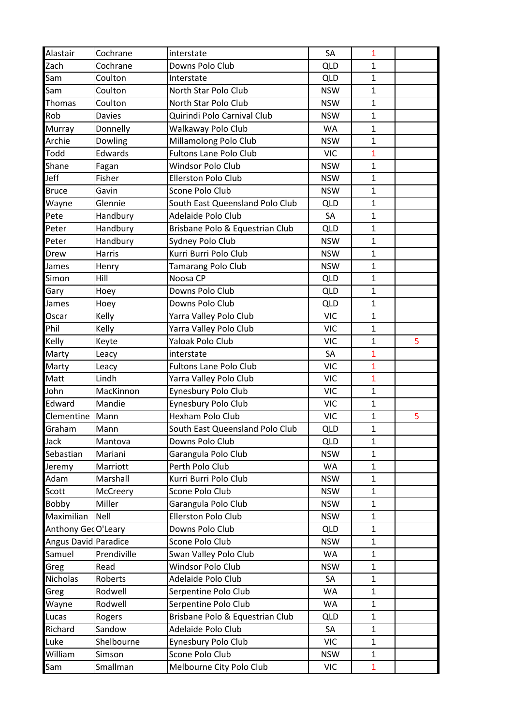| Alastair             | Cochrane      | interstate                      | SA         | 1            |   |
|----------------------|---------------|---------------------------------|------------|--------------|---|
| Zach                 | Cochrane      | Downs Polo Club                 | QLD        | 1            |   |
| Sam                  | Coulton       | Interstate                      | <b>QLD</b> | $\mathbf{1}$ |   |
| Sam                  | Coulton       | North Star Polo Club            | <b>NSW</b> | $\mathbf{1}$ |   |
| Thomas               | Coulton       | North Star Polo Club            | <b>NSW</b> | $\mathbf{1}$ |   |
| Rob                  | <b>Davies</b> | Quirindi Polo Carnival Club     | <b>NSW</b> | $\mathbf{1}$ |   |
| <b>Murray</b>        | Donnelly      | Walkaway Polo Club              | <b>WA</b>  | $\mathbf{1}$ |   |
| Archie               | Dowling       | Millamolong Polo Club           | <b>NSW</b> | $\mathbf{1}$ |   |
| Todd                 | Edwards       | <b>Fultons Lane Polo Club</b>   | <b>VIC</b> | $\mathbf{1}$ |   |
| Shane                | Fagan         | Windsor Polo Club               | <b>NSW</b> | $\mathbf{1}$ |   |
| Jeff                 | Fisher        | <b>Ellerston Polo Club</b>      | <b>NSW</b> | $\mathbf{1}$ |   |
| <b>Bruce</b>         | Gavin         | Scone Polo Club                 | <b>NSW</b> | $\mathbf{1}$ |   |
| Wayne                | Glennie       | South East Queensland Polo Club | <b>QLD</b> | $\mathbf{1}$ |   |
| Pete                 | Handbury      | Adelaide Polo Club              | SA         | $\mathbf{1}$ |   |
| Peter                | Handbury      | Brisbane Polo & Equestrian Club | <b>QLD</b> | $\mathbf{1}$ |   |
| Peter                | Handbury      | Sydney Polo Club                | <b>NSW</b> | $\mathbf{1}$ |   |
| Drew                 | <b>Harris</b> | Kurri Burri Polo Club           | <b>NSW</b> | $\mathbf{1}$ |   |
| James                | Henry         | Tamarang Polo Club              | <b>NSW</b> | $\mathbf{1}$ |   |
| Simon                | Hill          | Noosa CP                        | <b>QLD</b> | $\mathbf{1}$ |   |
| Gary                 | Hoey          | Downs Polo Club                 | <b>QLD</b> | $\mathbf{1}$ |   |
| James                | Hoey          | Downs Polo Club                 | <b>QLD</b> | $\mathbf{1}$ |   |
| Oscar                | Kelly         | Yarra Valley Polo Club          | <b>VIC</b> | $\mathbf{1}$ |   |
| Phil                 | Kelly         | Yarra Valley Polo Club          | <b>VIC</b> | $\mathbf{1}$ |   |
| Kelly                | Keyte         | Yaloak Polo Club                | <b>VIC</b> | $\mathbf{1}$ | 5 |
| Marty                | Leacy         | interstate                      | SA         | $\mathbf{1}$ |   |
| Marty                | Leacy         | <b>Fultons Lane Polo Club</b>   | <b>VIC</b> | $\mathbf{1}$ |   |
| Matt                 | Lindh         | Yarra Valley Polo Club          | <b>VIC</b> | $\mathbf{1}$ |   |
| John                 | MacKinnon     | Eynesbury Polo Club             | <b>VIC</b> | $\mathbf{1}$ |   |
| Edward               | Mandie        | Eynesbury Polo Club             | <b>VIC</b> | $\mathbf{1}$ |   |
| Clementine           | Mann          | Hexham Polo Club                | <b>VIC</b> | $\mathbf{1}$ | 5 |
| Graham               | Mann          | South East Queensland Polo Club | <b>QLD</b> | $\mathbf{1}$ |   |
| Jack                 | Mantova       | Downs Polo Club                 | <b>QLD</b> | $\mathbf{1}$ |   |
| Sebastian            | Mariani       | Garangula Polo Club             | <b>NSW</b> | $\mathbf{1}$ |   |
| Jeremy               | Marriott      | Perth Polo Club                 | <b>WA</b>  | $\mathbf{1}$ |   |
| Adam                 | Marshall      | Kurri Burri Polo Club           | <b>NSW</b> | $\mathbf{1}$ |   |
| Scott                | McCreery      | Scone Polo Club                 | <b>NSW</b> | $\mathbf{1}$ |   |
| <b>Bobby</b>         | Miller        | Garangula Polo Club             | <b>NSW</b> | $\mathbf{1}$ |   |
| Maximilian           | Nell          | Ellerston Polo Club             | <b>NSW</b> | $\mathbf{1}$ |   |
| Anthony GeoO'Leary   |               | Downs Polo Club                 | <b>QLD</b> | $\mathbf{1}$ |   |
| Angus David Paradice |               | Scone Polo Club                 | <b>NSW</b> | $\mathbf{1}$ |   |
| Samuel               | Prendiville   | Swan Valley Polo Club           | WA         | $\mathbf{1}$ |   |
| Greg                 | Read          | Windsor Polo Club               | <b>NSW</b> | $\mathbf{1}$ |   |
| <b>Nicholas</b>      | Roberts       | Adelaide Polo Club              | SA         | $\mathbf{1}$ |   |
| Greg                 | Rodwell       | Serpentine Polo Club            | WA         | $\mathbf{1}$ |   |
| Wayne                | Rodwell       | Serpentine Polo Club            | WA         | $\mathbf{1}$ |   |
| Lucas                | Rogers        | Brisbane Polo & Equestrian Club | <b>QLD</b> | $\mathbf{1}$ |   |
| Richard              | Sandow        | Adelaide Polo Club              | SA         | $\mathbf{1}$ |   |
| Luke                 | Shelbourne    | Eynesbury Polo Club             | <b>VIC</b> | $\mathbf{1}$ |   |
| William              | Simson        | Scone Polo Club                 | <b>NSW</b> | $\mathbf{1}$ |   |
| Sam                  | Smallman      | Melbourne City Polo Club        | VIC        | $\mathbf{1}$ |   |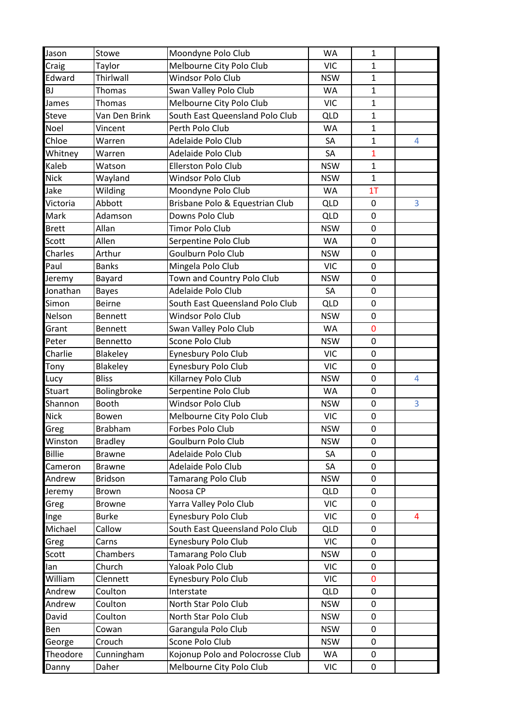| Jason         | Stowe                    | Moondyne Polo Club                          | WA                      | $\mathbf{1}$     |                |
|---------------|--------------------------|---------------------------------------------|-------------------------|------------------|----------------|
| Craig         | Taylor                   | Melbourne City Polo Club                    | <b>VIC</b>              | $\mathbf{1}$     |                |
| Edward        | Thirlwall                | Windsor Polo Club                           | <b>NSW</b>              | $\mathbf{1}$     |                |
| <b>BJ</b>     | Thomas                   | Swan Valley Polo Club                       | <b>WA</b>               | $\mathbf{1}$     |                |
| James         | Thomas                   | Melbourne City Polo Club                    | <b>VIC</b>              | $\mathbf{1}$     |                |
| <b>Steve</b>  | Van Den Brink            | South East Queensland Polo Club             | <b>QLD</b>              | $\mathbf{1}$     |                |
| Noel          | Vincent                  | Perth Polo Club                             | WA                      | $\mathbf{1}$     |                |
| Chloe         | Warren                   | Adelaide Polo Club                          | SA                      | $\mathbf{1}$     | 4              |
| Whitney       | Warren                   | Adelaide Polo Club                          | SA                      | $\mathbf{1}$     |                |
| Kaleb         | Watson                   | <b>Ellerston Polo Club</b>                  | <b>NSW</b>              | $\mathbf{1}$     |                |
| <b>Nick</b>   | Wayland                  | Windsor Polo Club                           | <b>NSW</b>              | $\mathbf{1}$     |                |
| Jake          | Wilding                  | Moondyne Polo Club                          | <b>WA</b>               | 1 <sub>T</sub>   |                |
| Victoria      | Abbott                   | Brisbane Polo & Equestrian Club             | QLD                     | 0                | 3              |
| Mark          | Adamson                  | Downs Polo Club                             | <b>QLD</b>              | 0                |                |
| <b>Brett</b>  | Allan                    | Timor Polo Club                             | <b>NSW</b>              | $\mathbf 0$      |                |
| Scott         | Allen                    | Serpentine Polo Club                        | <b>WA</b>               | $\mathbf 0$      |                |
| Charles       | Arthur                   | Goulburn Polo Club                          | <b>NSW</b>              | 0                |                |
| Paul          | <b>Banks</b>             | Mingela Polo Club                           | <b>VIC</b>              | $\mathbf 0$      |                |
| Jeremy        | Bayard                   | Town and Country Polo Club                  | <b>NSW</b>              | 0                |                |
| Jonathan      | <b>Bayes</b>             | Adelaide Polo Club                          | SA                      | 0                |                |
| Simon         | <b>Beirne</b>            | South East Queensland Polo Club             | <b>QLD</b>              | $\mathbf 0$      |                |
| Nelson        | <b>Bennett</b>           | Windsor Polo Club                           | <b>NSW</b>              | $\pmb{0}$        |                |
| Grant         | Bennett                  | Swan Valley Polo Club                       | <b>WA</b>               | 0                |                |
| Peter         | Bennetto                 | Scone Polo Club                             | <b>NSW</b>              | 0                |                |
| Charlie       | Blakeley                 | Eynesbury Polo Club                         | <b>VIC</b>              | 0                |                |
|               |                          | Eynesbury Polo Club                         | <b>VIC</b>              | 0                |                |
| Tony          | Blakeley<br><b>Bliss</b> |                                             |                         |                  |                |
| Lucy          |                          | Killarney Polo Club<br>Serpentine Polo Club | <b>NSW</b><br><b>WA</b> | 0<br>$\mathbf 0$ | 4              |
| <b>Stuart</b> | Bolingbroke              | Windsor Polo Club                           |                         | $\mathbf 0$      |                |
| Shannon       | Booth                    |                                             | <b>NSW</b>              |                  | 3              |
| <b>Nick</b>   | Bowen                    | Melbourne City Polo Club                    | <b>VIC</b>              | 0                |                |
| Greg          | Brabham                  | Forbes Polo Club                            | <b>NSW</b>              | $\mathbf 0$      |                |
| Winston       | <b>Bradley</b>           | Goulburn Polo Club                          | <b>NSW</b>              | 0                |                |
| <b>Billie</b> | <b>Brawne</b>            | Adelaide Polo Club                          | SA                      | 0                |                |
| Cameron       | <b>Brawne</b>            | Adelaide Polo Club                          | SA                      | 0                |                |
| Andrew        | <b>Bridson</b>           | Tamarang Polo Club                          | <b>NSW</b>              | $\mathbf 0$      |                |
| Jeremy        | <b>Brown</b>             | Noosa CP                                    | <b>QLD</b>              | 0                |                |
| Greg          | <b>Browne</b>            | Yarra Valley Polo Club                      | <b>VIC</b>              | 0                |                |
| Inge          | <b>Burke</b>             | Eynesbury Polo Club                         | <b>VIC</b>              | 0                | $\overline{4}$ |
| Michael       | Callow                   | South East Queensland Polo Club             | <b>QLD</b>              | 0                |                |
| Greg          | Carns                    | Eynesbury Polo Club                         | <b>VIC</b>              | 0                |                |
| Scott         | Chambers                 | Tamarang Polo Club                          | <b>NSW</b>              | 0                |                |
| lan           | Church                   | Yaloak Polo Club                            | <b>VIC</b>              | $\pmb{0}$        |                |
| William       | Clennett                 | Eynesbury Polo Club                         | <b>VIC</b>              | 0                |                |
| Andrew        | Coulton                  | Interstate                                  | <b>QLD</b>              | 0                |                |
| Andrew        | Coulton                  | North Star Polo Club                        | <b>NSW</b>              | 0                |                |
| David         | Coulton                  | North Star Polo Club                        | <b>NSW</b>              | 0                |                |
| Ben           | Cowan                    | Garangula Polo Club                         | <b>NSW</b>              | 0                |                |
| George        | Crouch                   | Scone Polo Club                             | <b>NSW</b>              | 0                |                |
| Theodore      | Cunningham               | Kojonup Polo and Polocrosse Club            | WA                      | 0                |                |
| Danny         |                          |                                             |                         |                  |                |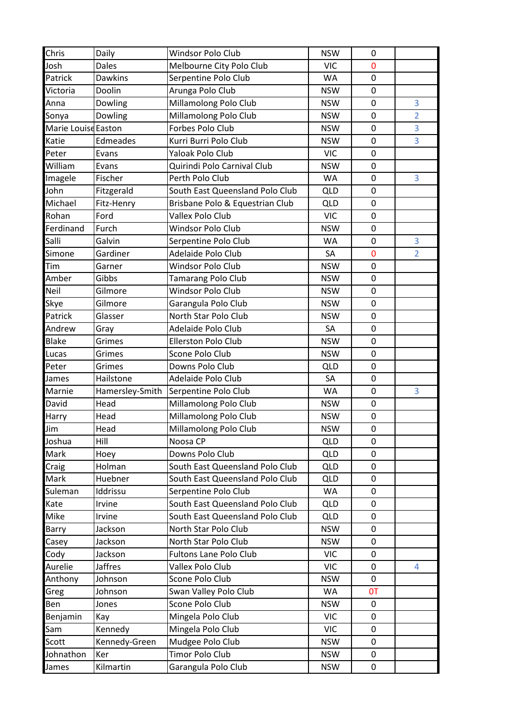| Chris               | Daily           | Windsor Polo Club               | <b>NSW</b> | 0                |                |
|---------------------|-----------------|---------------------------------|------------|------------------|----------------|
| Josh                | <b>Dales</b>    | Melbourne City Polo Club        | <b>VIC</b> | $\mathbf 0$      |                |
| Patrick             | <b>Dawkins</b>  | Serpentine Polo Club            | WA         | $\boldsymbol{0}$ |                |
| Victoria            | Doolin          | Arunga Polo Club                | <b>NSW</b> | $\boldsymbol{0}$ |                |
| Anna                | Dowling         | Millamolong Polo Club           | <b>NSW</b> | $\mathbf 0$      | 3              |
| Sonya               | Dowling         | Millamolong Polo Club           | <b>NSW</b> | $\mathbf 0$      | $\overline{2}$ |
| Marie Louise Easton |                 | Forbes Polo Club                | <b>NSW</b> | $\mathbf 0$      | 3              |
| Katie               | Edmeades        | Kurri Burri Polo Club           | <b>NSW</b> | $\boldsymbol{0}$ | 3              |
| Peter               | Evans           | <b>Yaloak Polo Club</b>         | <b>VIC</b> | $\mathbf 0$      |                |
| William             | Evans           | Quirindi Polo Carnival Club     | <b>NSW</b> | $\mathbf 0$      |                |
| Imagele             | Fischer         | Perth Polo Club                 | <b>WA</b>  | $\mathbf 0$      | 3              |
| John                | Fitzgerald      | South East Queensland Polo Club | <b>QLD</b> | $\mathbf 0$      |                |
| Michael             | Fitz-Henry      | Brisbane Polo & Equestrian Club | <b>QLD</b> | $\boldsymbol{0}$ |                |
| Rohan               | Ford            | Vallex Polo Club                | <b>VIC</b> | $\mathbf 0$      |                |
| Ferdinand           | Furch           | Windsor Polo Club               | <b>NSW</b> | $\pmb{0}$        |                |
| Salli               | Galvin          | Serpentine Polo Club            | <b>WA</b>  | $\mathbf 0$      | 3              |
| Simone              | Gardiner        | Adelaide Polo Club              | SA         | $\mathbf 0$      | $\overline{2}$ |
| Tim                 | Garner          | Windsor Polo Club               | <b>NSW</b> | $\boldsymbol{0}$ |                |
| Amber               | Gibbs           | <b>Tamarang Polo Club</b>       | <b>NSW</b> | $\mathbf 0$      |                |
| Neil                | Gilmore         | <b>Windsor Polo Club</b>        | <b>NSW</b> | 0                |                |
| Skye                | Gilmore         | Garangula Polo Club             | <b>NSW</b> | $\mathbf 0$      |                |
| Patrick             | Glasser         | North Star Polo Club            | <b>NSW</b> | $\boldsymbol{0}$ |                |
| Andrew              | Gray            | Adelaide Polo Club              | SA         | $\pmb{0}$        |                |
| <b>Blake</b>        | Grimes          | <b>Ellerston Polo Club</b>      | <b>NSW</b> | $\mathbf 0$      |                |
| Lucas               | Grimes          | Scone Polo Club                 | <b>NSW</b> | $\boldsymbol{0}$ |                |
| Peter               | Grimes          | Downs Polo Club                 | <b>QLD</b> | $\mathbf 0$      |                |
| James               | Hailstone       | Adelaide Polo Club              | SA         | $\boldsymbol{0}$ |                |
| Marnie              | Hamersley-Smith | Serpentine Polo Club            | <b>WA</b>  | $\pmb{0}$        | 3              |
| David               | Head            | Millamolong Polo Club           | <b>NSW</b> | $\pmb{0}$        |                |
| Harry               | Head            | Millamolong Polo Club           | <b>NSW</b> | $\boldsymbol{0}$ |                |
| Jim                 | Head            | Millamolong Polo Club           | <b>NSW</b> | $\boldsymbol{0}$ |                |
| Joshua              | Hill            | Noosa CP                        | <b>QLD</b> | 0                |                |
| Mark                | Hoey            | Downs Polo Club                 | <b>QLD</b> | $\mathbf 0$      |                |
| Craig               | Holman          | South East Queensland Polo Club | <b>QLD</b> | 0                |                |
| Mark                | Huebner         | South East Queensland Polo Club | <b>QLD</b> | 0                |                |
| Suleman             | Iddrissu        | Serpentine Polo Club            | WA         | $\mathbf 0$      |                |
| Kate                | Irvine          | South East Queensland Polo Club | <b>QLD</b> | 0                |                |
| <b>Mike</b>         | Irvine          | South East Queensland Polo Club | <b>QLD</b> | 0                |                |
| Barry               | Jackson         | North Star Polo Club            | <b>NSW</b> | $\mathbf 0$      |                |
| Casey               | Jackson         | North Star Polo Club            | <b>NSW</b> | $\mathbf 0$      |                |
| Cody                | Jackson         | <b>Fultons Lane Polo Club</b>   | <b>VIC</b> | $\mathbf 0$      |                |
| Aurelie             | <b>Jaffres</b>  | Vallex Polo Club                | <b>VIC</b> | 0                | 4              |
| Anthony             | Johnson         | Scone Polo Club                 | <b>NSW</b> | $\mathbf 0$      |                |
| Greg                | Johnson         | Swan Valley Polo Club           | WA         | <b>OT</b>        |                |
| Ben                 | Jones           | Scone Polo Club                 | <b>NSW</b> | 0                |                |
| Benjamin            | Kay             | Mingela Polo Club               | <b>VIC</b> | 0                |                |
| Sam                 | Kennedy         | Mingela Polo Club               | <b>VIC</b> | 0                |                |
| Scott               | Kennedy-Green   | Mudgee Polo Club                | <b>NSW</b> | 0                |                |
| Johnathon           | Ker             | Timor Polo Club                 | <b>NSW</b> | 0                |                |
| James               | Kilmartin       | Garangula Polo Club             | <b>NSW</b> | 0                |                |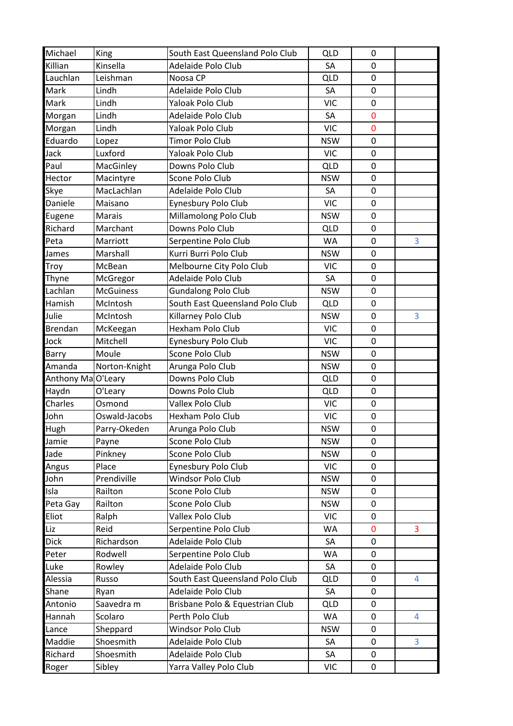| Michael           | King             | South East Queensland Polo Club | QLD        | 0                |   |
|-------------------|------------------|---------------------------------|------------|------------------|---|
| Killian           | Kinsella         | Adelaide Polo Club              | SA         | $\mathbf 0$      |   |
| Lauchlan          | Leishman         | Noosa CP                        | <b>QLD</b> | $\pmb{0}$        |   |
| Mark              | Lindh            | Adelaide Polo Club              | SA         | $\mathbf 0$      |   |
| <b>Mark</b>       | Lindh            | Yaloak Polo Club                | <b>VIC</b> | $\mathbf 0$      |   |
| Morgan            | Lindh            | Adelaide Polo Club              | SA         | $\mathbf 0$      |   |
| Morgan            | Lindh            | Yaloak Polo Club                | <b>VIC</b> | $\mathbf 0$      |   |
| Eduardo           | Lopez            | <b>Timor Polo Club</b>          | <b>NSW</b> | $\mathbf 0$      |   |
| Jack              | Luxford          | Yaloak Polo Club                | <b>VIC</b> | $\mathbf 0$      |   |
| Paul              | MacGinley        | Downs Polo Club                 | <b>QLD</b> | $\mathbf 0$      |   |
| Hector            | Macintyre        | Scone Polo Club                 | <b>NSW</b> | $\mathbf 0$      |   |
| Skye              | MacLachlan       | Adelaide Polo Club              | SA         | $\mathbf 0$      |   |
| Daniele           | Maisano          | Eynesbury Polo Club             | <b>VIC</b> | $\mathbf 0$      |   |
| Eugene            | <b>Marais</b>    | Millamolong Polo Club           | <b>NSW</b> | $\mathbf 0$      |   |
| Richard           | Marchant         | Downs Polo Club                 | <b>QLD</b> | $\pmb{0}$        |   |
| Peta              | Marriott         | Serpentine Polo Club            | <b>WA</b>  | $\mathbf 0$      | 3 |
| James             | Marshall         | Kurri Burri Polo Club           | <b>NSW</b> | 0                |   |
| Troy              | McBean           | Melbourne City Polo Club        | VIC        | $\pmb{0}$        |   |
| Thyne             | McGregor         | Adelaide Polo Club              | SA         | $\mathbf 0$      |   |
| Lachlan           | <b>McGuiness</b> | <b>Gundalong Polo Club</b>      | <b>NSW</b> | 0                |   |
| Hamish            | McIntosh         | South East Queensland Polo Club | <b>QLD</b> | $\mathbf 0$      |   |
| Julie             | McIntosh         | Killarney Polo Club             | <b>NSW</b> | $\pmb{0}$        | 3 |
| <b>Brendan</b>    | McKeegan         | Hexham Polo Club                | <b>VIC</b> | $\pmb{0}$        |   |
| Jock              | Mitchell         | Eynesbury Polo Club             | <b>VIC</b> | $\mathbf 0$      |   |
| Barry             | Moule            | Scone Polo Club                 | <b>NSW</b> | $\mathbf 0$      |   |
| Amanda            | Norton-Knight    | Arunga Polo Club                | <b>NSW</b> | 0                |   |
| Anthony MaO'Leary |                  | Downs Polo Club                 | <b>QLD</b> | $\mathbf 0$      |   |
| Haydn             | O'Leary          | Downs Polo Club                 | <b>QLD</b> | $\pmb{0}$        |   |
| Charles           | Osmond           | Vallex Polo Club                | <b>VIC</b> | $\mathbf 0$      |   |
| John              | Oswald-Jacobs    | Hexham Polo Club                | <b>VIC</b> | $\mathbf 0$      |   |
| Hugh              | Parry-Okeden     | Arunga Polo Club                | <b>NSW</b> | $\boldsymbol{0}$ |   |
| Jamie             | Payne            | Scone Polo Club                 | <b>NSW</b> | 0                |   |
| Jade              | Pinkney          | Scone Polo Club                 | <b>NSW</b> | $\mathbf 0$      |   |
| Angus             | Place            | Eynesbury Polo Club             | <b>VIC</b> | 0                |   |
| John              | Prendiville      | Windsor Polo Club               | <b>NSW</b> | 0                |   |
| Isla              | Railton          | Scone Polo Club                 | <b>NSW</b> | $\mathbf 0$      |   |
| Peta Gay          | Railton          | Scone Polo Club                 | <b>NSW</b> | 0                |   |
| Eliot             | Ralph            | <b>Vallex Polo Club</b>         | <b>VIC</b> | 0                |   |
| Liz               | Reid             | Serpentine Polo Club            | WA         | $\mathbf 0$      | 3 |
| <b>Dick</b>       | Richardson       | Adelaide Polo Club              | SA         | $\mathbf 0$      |   |
| Peter             | Rodwell          | Serpentine Polo Club            | WA         | $\mathbf 0$      |   |
| Luke              | Rowley           | Adelaide Polo Club              | SA         | 0                |   |
| Alessia           | Russo            | South East Queensland Polo Club | <b>QLD</b> | $\mathbf 0$      | 4 |
| Shane             | Ryan             | Adelaide Polo Club              | SA         | 0                |   |
| Antonio           | Saavedra m       | Brisbane Polo & Equestrian Club | <b>QLD</b> | 0                |   |
| Hannah            | Scolaro          | Perth Polo Club                 | WA         | $\pmb{0}$        | 4 |
| Lance             | Sheppard         | Windsor Polo Club               | <b>NSW</b> | 0                |   |
| Maddie            | Shoesmith        | Adelaide Polo Club              | SA         | 0                | 3 |
| Richard           | Shoesmith        | Adelaide Polo Club              | SA         | 0                |   |
| Roger             | Sibley           | Yarra Valley Polo Club          | VIC        | $\mathbf 0$      |   |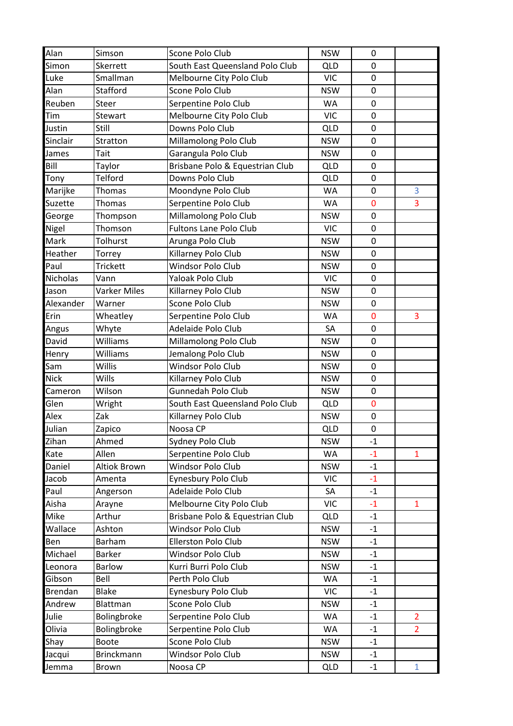| Alan            | Simson            | Scone Polo Club                 | <b>NSW</b> | 0           |                |
|-----------------|-------------------|---------------------------------|------------|-------------|----------------|
| Simon           | Skerrett          | South East Queensland Polo Club | <b>QLD</b> | 0           |                |
| Luke            | Smallman          | Melbourne City Polo Club        | <b>VIC</b> | $\pmb{0}$   |                |
| Alan            | Stafford          | Scone Polo Club                 | <b>NSW</b> | $\mathbf 0$ |                |
| Reuben          | Steer             | Serpentine Polo Club            | WA         | $\pmb{0}$   |                |
| Tim             | Stewart           | Melbourne City Polo Club        | <b>VIC</b> | $\pmb{0}$   |                |
| Justin          | Still             | Downs Polo Club                 | <b>QLD</b> | $\mathbf 0$ |                |
| Sinclair        | Stratton          | Millamolong Polo Club           | <b>NSW</b> | $\mathbf 0$ |                |
| James           | Tait              | Garangula Polo Club             | <b>NSW</b> | $\mathbf 0$ |                |
| Bill            | Taylor            | Brisbane Polo & Equestrian Club | <b>QLD</b> | $\pmb{0}$   |                |
| Tony            | Telford           | Downs Polo Club                 | <b>QLD</b> | $\pmb{0}$   |                |
| Marijke         | Thomas            | Moondyne Polo Club              | WA         | $\mathbf 0$ | 3              |
| Suzette         | Thomas            | Serpentine Polo Club            | WA         | $\mathbf 0$ | 3              |
| George          | Thompson          | Millamolong Polo Club           | <b>NSW</b> | $\mathbf 0$ |                |
| Nigel           | Thomson           | <b>Fultons Lane Polo Club</b>   | <b>VIC</b> | $\mathbf 0$ |                |
| Mark            | Tolhurst          | Arunga Polo Club                | <b>NSW</b> | $\mathbf 0$ |                |
| Heather         | Torrey            | Killarney Polo Club             | <b>NSW</b> | $\pmb{0}$   |                |
| Paul            | <b>Trickett</b>   | <b>Windsor Polo Club</b>        | <b>NSW</b> | $\pmb{0}$   |                |
| <b>Nicholas</b> | Vann              | Yaloak Polo Club                | <b>VIC</b> | $\mathbf 0$ |                |
| Jason           | Varker Miles      | Killarney Polo Club             | <b>NSW</b> | $\mathbf 0$ |                |
| Alexander       | Warner            | Scone Polo Club                 | <b>NSW</b> | $\mathbf 0$ |                |
| Erin            | Wheatley          | Serpentine Polo Club            | WA         | $\mathbf 0$ | 3              |
| Angus           | Whyte             | Adelaide Polo Club              | SA         | $\pmb{0}$   |                |
| David           | Williams          | Millamolong Polo Club           | <b>NSW</b> | $\mathbf 0$ |                |
| Henry           | Williams          | Jemalong Polo Club              | <b>NSW</b> | $\pmb{0}$   |                |
| Sam             | Willis            | <b>Windsor Polo Club</b>        | <b>NSW</b> | $\pmb{0}$   |                |
| <b>Nick</b>     | Wills             | Killarney Polo Club             | <b>NSW</b> | $\mathbf 0$ |                |
| Cameron         | Wilson            | Gunnedah Polo Club              | <b>NSW</b> | $\mathbf 0$ |                |
| Glen            | Wright            | South East Queensland Polo Club | <b>QLD</b> | $\pmb{0}$   |                |
| Alex            | Zak               | Killarney Polo Club             | <b>NSW</b> | 0           |                |
| Julian          | Zapico            | Noosa CP                        | <b>QLD</b> | $\mathbf 0$ |                |
| Zihan           | Ahmed             | Sydney Polo Club                | <b>NSW</b> | $-1$        |                |
| Kate            | Allen             | Serpentine Polo Club            | WA         | $-1$        | $\mathbf{1}$   |
| Daniel          | Altiok Brown      | <b>Windsor Polo Club</b>        | <b>NSW</b> | $-1$        |                |
| Jacob           | Amenta            | Eynesbury Polo Club             | <b>VIC</b> | $-1$        |                |
| Paul            | Angerson          | Adelaide Polo Club              | SA         | $-1$        |                |
| Aisha           | Arayne            | Melbourne City Polo Club        | <b>VIC</b> | $-1$        | $\mathbf{1}$   |
| Mike            | Arthur            | Brisbane Polo & Equestrian Club | <b>QLD</b> | $-1$        |                |
| Wallace         | Ashton            | Windsor Polo Club               | <b>NSW</b> | $-1$        |                |
| Ben             | Barham            | Ellerston Polo Club             | <b>NSW</b> | $-1$        |                |
| Michael         | <b>Barker</b>     | Windsor Polo Club               | <b>NSW</b> | $-1$        |                |
| Leonora         | <b>Barlow</b>     | Kurri Burri Polo Club           | <b>NSW</b> | $-1$        |                |
| Gibson          | Bell              | Perth Polo Club                 | <b>WA</b>  | $-1$        |                |
| Brendan         | <b>Blake</b>      | Eynesbury Polo Club             | <b>VIC</b> | $-1$        |                |
| Andrew          | Blattman          | Scone Polo Club                 | <b>NSW</b> | $-1$        |                |
| Julie           | Bolingbroke       | Serpentine Polo Club            | WA         | $-1$        | 2              |
| Olivia          | Bolingbroke       | Serpentine Polo Club            | <b>WA</b>  | $-1$        | $\overline{2}$ |
| Shay            | <b>Boote</b>      | Scone Polo Club                 | <b>NSW</b> | $-1$        |                |
| Jacqui          | <b>Brinckmann</b> | Windsor Polo Club               | <b>NSW</b> | $-1$        |                |
| Jemma           | Brown             | Noosa CP                        | <b>QLD</b> | $-1$        | $\mathbf{1}$   |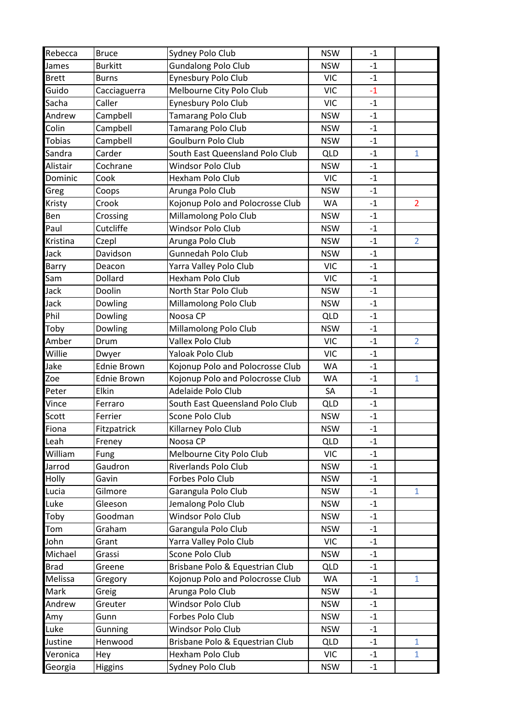| Rebecca        | <b>Bruce</b>          | Sydney Polo Club                     | <b>NSW</b>               | $-1$ |                |
|----------------|-----------------------|--------------------------------------|--------------------------|------|----------------|
| James          | <b>Burkitt</b>        | <b>Gundalong Polo Club</b>           | <b>NSW</b>               | $-1$ |                |
| <b>Brett</b>   | <b>Burns</b>          | Eynesbury Polo Club                  | <b>VIC</b>               | $-1$ |                |
| Guido          | Cacciaguerra          | Melbourne City Polo Club             | <b>VIC</b>               | $-1$ |                |
| Sacha          | Caller                | Eynesbury Polo Club                  | <b>VIC</b>               | $-1$ |                |
| Andrew         | Campbell              | <b>Tamarang Polo Club</b>            | <b>NSW</b>               | $-1$ |                |
| Colin          | Campbell              | <b>Tamarang Polo Club</b>            | <b>NSW</b>               | $-1$ |                |
| Tobias         | Campbell              | Goulburn Polo Club                   | <b>NSW</b>               | $-1$ |                |
| Sandra         | Carder                | South East Queensland Polo Club      | <b>QLD</b>               | $-1$ | $\mathbf{1}$   |
| Alistair       | Cochrane              | Windsor Polo Club                    | <b>NSW</b>               | $-1$ |                |
| Dominic        | Cook                  | Hexham Polo Club                     | <b>VIC</b>               | $-1$ |                |
| Greg           | Coops                 | Arunga Polo Club                     | <b>NSW</b>               | $-1$ |                |
| Kristy         | Crook                 | Kojonup Polo and Polocrosse Club     | WA                       | $-1$ | $\overline{2}$ |
| Ben            | Crossing              | Millamolong Polo Club                | <b>NSW</b>               | $-1$ |                |
| Paul           | Cutcliffe             | Windsor Polo Club                    | <b>NSW</b>               | $-1$ |                |
| Kristina       | Czepl                 | Arunga Polo Club                     | <b>NSW</b>               | $-1$ | $\overline{2}$ |
| Jack           | Davidson              | <b>Gunnedah Polo Club</b>            | <b>NSW</b>               | $-1$ |                |
| <b>Barry</b>   | Deacon                | Yarra Valley Polo Club               | <b>VIC</b>               | $-1$ |                |
| Sam            | Dollard               | <b>Hexham Polo Club</b>              | <b>VIC</b>               | $-1$ |                |
| Jack           | Doolin                | North Star Polo Club                 | <b>NSW</b>               | $-1$ |                |
| Jack           | Dowling               | Millamolong Polo Club                | <b>NSW</b>               | $-1$ |                |
| Phil           | Dowling               | Noosa CP                             | <b>QLD</b>               | $-1$ |                |
| Toby           | Dowling               | Millamolong Polo Club                | <b>NSW</b>               | $-1$ |                |
| Amber          | Drum                  | <b>Vallex Polo Club</b>              | <b>VIC</b>               | $-1$ | $\overline{2}$ |
| Willie         | Dwyer                 | Yaloak Polo Club                     | <b>VIC</b>               | $-1$ |                |
|                |                       |                                      |                          |      |                |
| Jake           | <b>Ednie Brown</b>    | Kojonup Polo and Polocrosse Club     | <b>WA</b>                | $-1$ |                |
| Zoe            | <b>Ednie Brown</b>    | Kojonup Polo and Polocrosse Club     | <b>WA</b>                | $-1$ | $\mathbf{1}$   |
| Peter          | <b>Elkin</b>          | Adelaide Polo Club                   | SA                       | $-1$ |                |
| Vince          | Ferraro               | South East Queensland Polo Club      | <b>QLD</b>               | $-1$ |                |
| Scott          | Ferrier               | Scone Polo Club                      | <b>NSW</b>               | $-1$ |                |
| Fiona          | Fitzpatrick           | Killarney Polo Club                  | <b>NSW</b>               | $-1$ |                |
| Leah           | Freney                | Noosa CP                             | <b>QLD</b>               | $-1$ |                |
| William        | Fung                  | Melbourne City Polo Club             | <b>VIC</b>               | $-1$ |                |
| Jarrod         | Gaudron               | Riverlands Polo Club                 | <b>NSW</b>               | $-1$ |                |
| Holly          | Gavin                 | Forbes Polo Club                     | <b>NSW</b>               | $-1$ |                |
| Lucia          | Gilmore               | Garangula Polo Club                  | <b>NSW</b>               | $-1$ | $\mathbf{1}$   |
| Luke           | Gleeson               | Jemalong Polo Club                   | <b>NSW</b>               | $-1$ |                |
| Toby           | Goodman               | Windsor Polo Club                    | <b>NSW</b>               | $-1$ |                |
| Tom            | Graham                | Garangula Polo Club                  | <b>NSW</b>               | $-1$ |                |
| John           | Grant                 | Yarra Valley Polo Club               | <b>VIC</b>               | $-1$ |                |
| Michael        | Grassi                | Scone Polo Club                      | <b>NSW</b>               | $-1$ |                |
| <b>Brad</b>    | Greene                | Brisbane Polo & Equestrian Club      | <b>QLD</b>               | $-1$ |                |
| <b>Melissa</b> | Gregory               | Kojonup Polo and Polocrosse Club     | WA                       | $-1$ | $\mathbf{1}$   |
| Mark           | Greig                 | Arunga Polo Club                     | <b>NSW</b>               | $-1$ |                |
| Andrew         | Greuter               | Windsor Polo Club                    | <b>NSW</b>               | $-1$ |                |
| Amy            | Gunn                  | Forbes Polo Club                     | <b>NSW</b>               | $-1$ |                |
| Luke           | Gunning               | Windsor Polo Club                    | <b>NSW</b>               | $-1$ |                |
| Justine        | Henwood               | Brisbane Polo & Equestrian Club      | <b>QLD</b>               | $-1$ | $\mathbf{1}$   |
| Veronica       | Hey<br><b>Higgins</b> | Hexham Polo Club<br>Sydney Polo Club | <b>VIC</b><br><b>NSW</b> | $-1$ | $\mathbf{1}$   |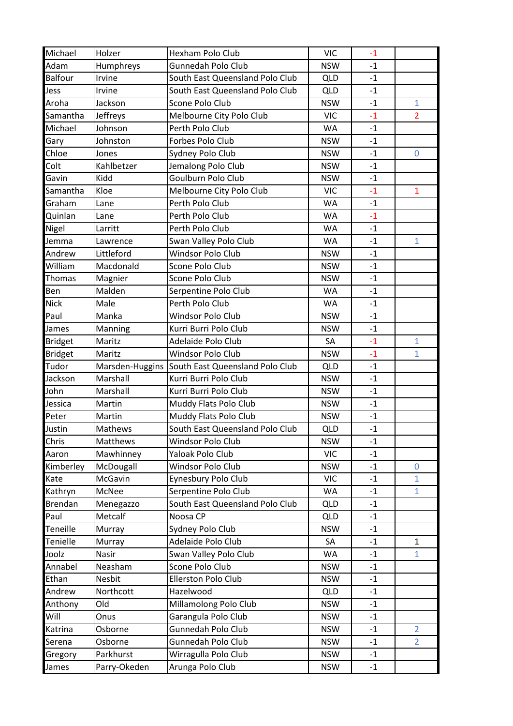| <b>NSW</b><br>Humphreys<br>Gunnedah Polo Club<br>$-1$<br><b>Balfour</b><br>South East Queensland Polo Club<br>Irvine<br><b>QLD</b><br>$-1$<br>Irvine<br>South East Queensland Polo Club<br><b>QLD</b><br>$-1$<br>Scone Polo Club<br>$\mathbf{1}$<br>Jackson<br><b>NSW</b><br>$-1$<br>Melbourne City Polo Club<br>Jeffreys<br><b>VIC</b><br>$-1$<br>$\overline{2}$<br>Johnson<br>Perth Polo Club<br>WA<br>$-1$<br>Johnston<br>Forbes Polo Club<br>Gary<br><b>NSW</b><br>$-1$<br>Chloe<br>Sydney Polo Club<br>Jones<br><b>NSW</b><br>$-1$<br>$\overline{0}$<br>Jemalong Polo Club<br>Colt<br>Kahlbetzer<br><b>NSW</b><br>$-1$<br>Goulburn Polo Club<br>Gavin<br>Kidd<br><b>NSW</b><br>$-1$<br>Kloe<br>Melbourne City Polo Club<br>$-1$<br>Samantha<br><b>VIC</b><br>$\mathbf{1}$<br>Perth Polo Club<br>Graham<br><b>WA</b><br>$-1$<br>Lane<br>Quinlan<br>Perth Polo Club<br><b>WA</b><br>$-1$<br>Lane<br>Perth Polo Club<br><b>WA</b><br>$-1$<br>Larritt<br>Swan Valley Polo Club<br><b>WA</b><br>$\mathbf{1}$<br>$-1$<br>Lawrence<br>Windsor Polo Club<br>Littleford<br><b>NSW</b><br>$-1$<br>Macdonald<br>Scone Polo Club<br><b>NSW</b><br>$-1$<br>Magnier<br>Scone Polo Club<br><b>NSW</b><br>$-1$<br>Ben<br>Malden<br>Serpentine Polo Club<br>WA<br>$-1$<br><b>Nick</b><br>Perth Polo Club<br>Male<br>WA<br>$-1$<br>Paul<br>Manka<br><b>Windsor Polo Club</b><br><b>NSW</b><br>$-1$<br>Kurri Burri Polo Club<br>James<br>Manning<br><b>NSW</b><br>$-1$<br>Maritz<br>Adelaide Polo Club<br>$-1$<br>$\mathbf{1}$<br>SA<br><b>Bridget</b><br>Windsor Polo Club<br><b>NSW</b><br>$-1$<br>$\mathbf{1}$<br><b>Bridget</b><br>Maritz<br>South East Queensland Polo Club<br>Marsden-Huggins<br>QLD<br>$-1$<br>Marshall<br>Kurri Burri Polo Club<br><b>NSW</b><br>$-1$<br>Marshall<br>Kurri Burri Polo Club<br><b>NSW</b><br>$-1$<br>Martin<br>Muddy Flats Polo Club<br><b>NSW</b><br>$-1$<br>Muddy Flats Polo Club<br>Martin<br><b>NSW</b><br>$-1$<br>Justin<br>$-1$<br>Mathews<br>South East Queensland Polo Club<br><b>QLD</b><br>Chris<br>Matthews<br><b>Windsor Polo Club</b><br><b>NSW</b><br>$-1$<br>Mawhinney<br>Yaloak Polo Club<br><b>VIC</b><br>Aaron<br>$-1$<br>McDougall<br>Windsor Polo Club<br><b>NSW</b><br>Kimberley<br>$-1$<br>0<br>McGavin<br>Eynesbury Polo Club<br><b>VIC</b><br>$\mathbf{1}$<br>$-1$<br>Serpentine Polo Club<br>WA<br>$\mathbf{1}$<br>Kathryn<br>McNee<br>$-1$<br>South East Queensland Polo Club<br><b>Brendan</b><br><b>QLD</b><br>$-1$<br>Menegazzo<br>Metcalf<br>Noosa CP<br><b>QLD</b><br>$-1$<br>Sydney Polo Club<br>Murray<br><b>NSW</b><br>$-1$<br>Adelaide Polo Club<br>SA<br>$\mathbf{1}$<br>Murray<br>$-1$<br>Swan Valley Polo Club<br>Nasir<br>WA<br>$\mathbf{1}$<br>$-1$<br>Scone Polo Club<br>Neasham<br><b>NSW</b><br>$-1$<br>Ellerston Polo Club<br>Ethan<br>Nesbit<br><b>NSW</b><br>$-1$<br>Northcott<br>Hazelwood<br><b>QLD</b><br>$-1$<br>Old<br>Millamolong Polo Club<br><b>NSW</b><br>$-1$<br>Garangula Polo Club<br>Will<br>Onus<br><b>NSW</b><br>$-1$<br>Gunnedah Polo Club<br>Osborne<br><b>NSW</b><br>$\overline{2}$<br>$-1$<br>Gunnedah Polo Club<br><b>NSW</b><br>$\overline{2}$<br>Osborne<br>$-1$<br>Parkhurst<br>Wirragulla Polo Club<br><b>NSW</b><br>$-1$<br>Gregory<br>Parry-Okeden<br>Arunga Polo Club<br><b>NSW</b><br>$-1$ | Michael  | Holzer | Hexham Polo Club | <b>VIC</b> | $-1$ |  |
|-----------------------------------------------------------------------------------------------------------------------------------------------------------------------------------------------------------------------------------------------------------------------------------------------------------------------------------------------------------------------------------------------------------------------------------------------------------------------------------------------------------------------------------------------------------------------------------------------------------------------------------------------------------------------------------------------------------------------------------------------------------------------------------------------------------------------------------------------------------------------------------------------------------------------------------------------------------------------------------------------------------------------------------------------------------------------------------------------------------------------------------------------------------------------------------------------------------------------------------------------------------------------------------------------------------------------------------------------------------------------------------------------------------------------------------------------------------------------------------------------------------------------------------------------------------------------------------------------------------------------------------------------------------------------------------------------------------------------------------------------------------------------------------------------------------------------------------------------------------------------------------------------------------------------------------------------------------------------------------------------------------------------------------------------------------------------------------------------------------------------------------------------------------------------------------------------------------------------------------------------------------------------------------------------------------------------------------------------------------------------------------------------------------------------------------------------------------------------------------------------------------------------------------------------------------------------------------------------------------------------------------------------------------------------------------------------------------------------------------------------------------------------------------------------------------------------------------------------------------------------------------------------------------------------------------------------------------------------------------------------------------------------------------------------------------------------------------------------------------------------------------------------------------------------------------------------------------------------------------------------------------------------------------------------|----------|--------|------------------|------------|------|--|
|                                                                                                                                                                                                                                                                                                                                                                                                                                                                                                                                                                                                                                                                                                                                                                                                                                                                                                                                                                                                                                                                                                                                                                                                                                                                                                                                                                                                                                                                                                                                                                                                                                                                                                                                                                                                                                                                                                                                                                                                                                                                                                                                                                                                                                                                                                                                                                                                                                                                                                                                                                                                                                                                                                                                                                                                                                                                                                                                                                                                                                                                                                                                                                                                                                                                                               | Adam     |        |                  |            |      |  |
|                                                                                                                                                                                                                                                                                                                                                                                                                                                                                                                                                                                                                                                                                                                                                                                                                                                                                                                                                                                                                                                                                                                                                                                                                                                                                                                                                                                                                                                                                                                                                                                                                                                                                                                                                                                                                                                                                                                                                                                                                                                                                                                                                                                                                                                                                                                                                                                                                                                                                                                                                                                                                                                                                                                                                                                                                                                                                                                                                                                                                                                                                                                                                                                                                                                                                               |          |        |                  |            |      |  |
|                                                                                                                                                                                                                                                                                                                                                                                                                                                                                                                                                                                                                                                                                                                                                                                                                                                                                                                                                                                                                                                                                                                                                                                                                                                                                                                                                                                                                                                                                                                                                                                                                                                                                                                                                                                                                                                                                                                                                                                                                                                                                                                                                                                                                                                                                                                                                                                                                                                                                                                                                                                                                                                                                                                                                                                                                                                                                                                                                                                                                                                                                                                                                                                                                                                                                               | Jess     |        |                  |            |      |  |
|                                                                                                                                                                                                                                                                                                                                                                                                                                                                                                                                                                                                                                                                                                                                                                                                                                                                                                                                                                                                                                                                                                                                                                                                                                                                                                                                                                                                                                                                                                                                                                                                                                                                                                                                                                                                                                                                                                                                                                                                                                                                                                                                                                                                                                                                                                                                                                                                                                                                                                                                                                                                                                                                                                                                                                                                                                                                                                                                                                                                                                                                                                                                                                                                                                                                                               | Aroha    |        |                  |            |      |  |
|                                                                                                                                                                                                                                                                                                                                                                                                                                                                                                                                                                                                                                                                                                                                                                                                                                                                                                                                                                                                                                                                                                                                                                                                                                                                                                                                                                                                                                                                                                                                                                                                                                                                                                                                                                                                                                                                                                                                                                                                                                                                                                                                                                                                                                                                                                                                                                                                                                                                                                                                                                                                                                                                                                                                                                                                                                                                                                                                                                                                                                                                                                                                                                                                                                                                                               | Samantha |        |                  |            |      |  |
|                                                                                                                                                                                                                                                                                                                                                                                                                                                                                                                                                                                                                                                                                                                                                                                                                                                                                                                                                                                                                                                                                                                                                                                                                                                                                                                                                                                                                                                                                                                                                                                                                                                                                                                                                                                                                                                                                                                                                                                                                                                                                                                                                                                                                                                                                                                                                                                                                                                                                                                                                                                                                                                                                                                                                                                                                                                                                                                                                                                                                                                                                                                                                                                                                                                                                               | Michael  |        |                  |            |      |  |
|                                                                                                                                                                                                                                                                                                                                                                                                                                                                                                                                                                                                                                                                                                                                                                                                                                                                                                                                                                                                                                                                                                                                                                                                                                                                                                                                                                                                                                                                                                                                                                                                                                                                                                                                                                                                                                                                                                                                                                                                                                                                                                                                                                                                                                                                                                                                                                                                                                                                                                                                                                                                                                                                                                                                                                                                                                                                                                                                                                                                                                                                                                                                                                                                                                                                                               |          |        |                  |            |      |  |
|                                                                                                                                                                                                                                                                                                                                                                                                                                                                                                                                                                                                                                                                                                                                                                                                                                                                                                                                                                                                                                                                                                                                                                                                                                                                                                                                                                                                                                                                                                                                                                                                                                                                                                                                                                                                                                                                                                                                                                                                                                                                                                                                                                                                                                                                                                                                                                                                                                                                                                                                                                                                                                                                                                                                                                                                                                                                                                                                                                                                                                                                                                                                                                                                                                                                                               |          |        |                  |            |      |  |
|                                                                                                                                                                                                                                                                                                                                                                                                                                                                                                                                                                                                                                                                                                                                                                                                                                                                                                                                                                                                                                                                                                                                                                                                                                                                                                                                                                                                                                                                                                                                                                                                                                                                                                                                                                                                                                                                                                                                                                                                                                                                                                                                                                                                                                                                                                                                                                                                                                                                                                                                                                                                                                                                                                                                                                                                                                                                                                                                                                                                                                                                                                                                                                                                                                                                                               |          |        |                  |            |      |  |
|                                                                                                                                                                                                                                                                                                                                                                                                                                                                                                                                                                                                                                                                                                                                                                                                                                                                                                                                                                                                                                                                                                                                                                                                                                                                                                                                                                                                                                                                                                                                                                                                                                                                                                                                                                                                                                                                                                                                                                                                                                                                                                                                                                                                                                                                                                                                                                                                                                                                                                                                                                                                                                                                                                                                                                                                                                                                                                                                                                                                                                                                                                                                                                                                                                                                                               |          |        |                  |            |      |  |
|                                                                                                                                                                                                                                                                                                                                                                                                                                                                                                                                                                                                                                                                                                                                                                                                                                                                                                                                                                                                                                                                                                                                                                                                                                                                                                                                                                                                                                                                                                                                                                                                                                                                                                                                                                                                                                                                                                                                                                                                                                                                                                                                                                                                                                                                                                                                                                                                                                                                                                                                                                                                                                                                                                                                                                                                                                                                                                                                                                                                                                                                                                                                                                                                                                                                                               |          |        |                  |            |      |  |
|                                                                                                                                                                                                                                                                                                                                                                                                                                                                                                                                                                                                                                                                                                                                                                                                                                                                                                                                                                                                                                                                                                                                                                                                                                                                                                                                                                                                                                                                                                                                                                                                                                                                                                                                                                                                                                                                                                                                                                                                                                                                                                                                                                                                                                                                                                                                                                                                                                                                                                                                                                                                                                                                                                                                                                                                                                                                                                                                                                                                                                                                                                                                                                                                                                                                                               |          |        |                  |            |      |  |
|                                                                                                                                                                                                                                                                                                                                                                                                                                                                                                                                                                                                                                                                                                                                                                                                                                                                                                                                                                                                                                                                                                                                                                                                                                                                                                                                                                                                                                                                                                                                                                                                                                                                                                                                                                                                                                                                                                                                                                                                                                                                                                                                                                                                                                                                                                                                                                                                                                                                                                                                                                                                                                                                                                                                                                                                                                                                                                                                                                                                                                                                                                                                                                                                                                                                                               |          |        |                  |            |      |  |
|                                                                                                                                                                                                                                                                                                                                                                                                                                                                                                                                                                                                                                                                                                                                                                                                                                                                                                                                                                                                                                                                                                                                                                                                                                                                                                                                                                                                                                                                                                                                                                                                                                                                                                                                                                                                                                                                                                                                                                                                                                                                                                                                                                                                                                                                                                                                                                                                                                                                                                                                                                                                                                                                                                                                                                                                                                                                                                                                                                                                                                                                                                                                                                                                                                                                                               | Nigel    |        |                  |            |      |  |
|                                                                                                                                                                                                                                                                                                                                                                                                                                                                                                                                                                                                                                                                                                                                                                                                                                                                                                                                                                                                                                                                                                                                                                                                                                                                                                                                                                                                                                                                                                                                                                                                                                                                                                                                                                                                                                                                                                                                                                                                                                                                                                                                                                                                                                                                                                                                                                                                                                                                                                                                                                                                                                                                                                                                                                                                                                                                                                                                                                                                                                                                                                                                                                                                                                                                                               | Jemma    |        |                  |            |      |  |
|                                                                                                                                                                                                                                                                                                                                                                                                                                                                                                                                                                                                                                                                                                                                                                                                                                                                                                                                                                                                                                                                                                                                                                                                                                                                                                                                                                                                                                                                                                                                                                                                                                                                                                                                                                                                                                                                                                                                                                                                                                                                                                                                                                                                                                                                                                                                                                                                                                                                                                                                                                                                                                                                                                                                                                                                                                                                                                                                                                                                                                                                                                                                                                                                                                                                                               | Andrew   |        |                  |            |      |  |
|                                                                                                                                                                                                                                                                                                                                                                                                                                                                                                                                                                                                                                                                                                                                                                                                                                                                                                                                                                                                                                                                                                                                                                                                                                                                                                                                                                                                                                                                                                                                                                                                                                                                                                                                                                                                                                                                                                                                                                                                                                                                                                                                                                                                                                                                                                                                                                                                                                                                                                                                                                                                                                                                                                                                                                                                                                                                                                                                                                                                                                                                                                                                                                                                                                                                                               | William  |        |                  |            |      |  |
|                                                                                                                                                                                                                                                                                                                                                                                                                                                                                                                                                                                                                                                                                                                                                                                                                                                                                                                                                                                                                                                                                                                                                                                                                                                                                                                                                                                                                                                                                                                                                                                                                                                                                                                                                                                                                                                                                                                                                                                                                                                                                                                                                                                                                                                                                                                                                                                                                                                                                                                                                                                                                                                                                                                                                                                                                                                                                                                                                                                                                                                                                                                                                                                                                                                                                               | Thomas   |        |                  |            |      |  |
|                                                                                                                                                                                                                                                                                                                                                                                                                                                                                                                                                                                                                                                                                                                                                                                                                                                                                                                                                                                                                                                                                                                                                                                                                                                                                                                                                                                                                                                                                                                                                                                                                                                                                                                                                                                                                                                                                                                                                                                                                                                                                                                                                                                                                                                                                                                                                                                                                                                                                                                                                                                                                                                                                                                                                                                                                                                                                                                                                                                                                                                                                                                                                                                                                                                                                               |          |        |                  |            |      |  |
|                                                                                                                                                                                                                                                                                                                                                                                                                                                                                                                                                                                                                                                                                                                                                                                                                                                                                                                                                                                                                                                                                                                                                                                                                                                                                                                                                                                                                                                                                                                                                                                                                                                                                                                                                                                                                                                                                                                                                                                                                                                                                                                                                                                                                                                                                                                                                                                                                                                                                                                                                                                                                                                                                                                                                                                                                                                                                                                                                                                                                                                                                                                                                                                                                                                                                               |          |        |                  |            |      |  |
|                                                                                                                                                                                                                                                                                                                                                                                                                                                                                                                                                                                                                                                                                                                                                                                                                                                                                                                                                                                                                                                                                                                                                                                                                                                                                                                                                                                                                                                                                                                                                                                                                                                                                                                                                                                                                                                                                                                                                                                                                                                                                                                                                                                                                                                                                                                                                                                                                                                                                                                                                                                                                                                                                                                                                                                                                                                                                                                                                                                                                                                                                                                                                                                                                                                                                               |          |        |                  |            |      |  |
|                                                                                                                                                                                                                                                                                                                                                                                                                                                                                                                                                                                                                                                                                                                                                                                                                                                                                                                                                                                                                                                                                                                                                                                                                                                                                                                                                                                                                                                                                                                                                                                                                                                                                                                                                                                                                                                                                                                                                                                                                                                                                                                                                                                                                                                                                                                                                                                                                                                                                                                                                                                                                                                                                                                                                                                                                                                                                                                                                                                                                                                                                                                                                                                                                                                                                               |          |        |                  |            |      |  |
|                                                                                                                                                                                                                                                                                                                                                                                                                                                                                                                                                                                                                                                                                                                                                                                                                                                                                                                                                                                                                                                                                                                                                                                                                                                                                                                                                                                                                                                                                                                                                                                                                                                                                                                                                                                                                                                                                                                                                                                                                                                                                                                                                                                                                                                                                                                                                                                                                                                                                                                                                                                                                                                                                                                                                                                                                                                                                                                                                                                                                                                                                                                                                                                                                                                                                               |          |        |                  |            |      |  |
|                                                                                                                                                                                                                                                                                                                                                                                                                                                                                                                                                                                                                                                                                                                                                                                                                                                                                                                                                                                                                                                                                                                                                                                                                                                                                                                                                                                                                                                                                                                                                                                                                                                                                                                                                                                                                                                                                                                                                                                                                                                                                                                                                                                                                                                                                                                                                                                                                                                                                                                                                                                                                                                                                                                                                                                                                                                                                                                                                                                                                                                                                                                                                                                                                                                                                               |          |        |                  |            |      |  |
|                                                                                                                                                                                                                                                                                                                                                                                                                                                                                                                                                                                                                                                                                                                                                                                                                                                                                                                                                                                                                                                                                                                                                                                                                                                                                                                                                                                                                                                                                                                                                                                                                                                                                                                                                                                                                                                                                                                                                                                                                                                                                                                                                                                                                                                                                                                                                                                                                                                                                                                                                                                                                                                                                                                                                                                                                                                                                                                                                                                                                                                                                                                                                                                                                                                                                               | Tudor    |        |                  |            |      |  |
|                                                                                                                                                                                                                                                                                                                                                                                                                                                                                                                                                                                                                                                                                                                                                                                                                                                                                                                                                                                                                                                                                                                                                                                                                                                                                                                                                                                                                                                                                                                                                                                                                                                                                                                                                                                                                                                                                                                                                                                                                                                                                                                                                                                                                                                                                                                                                                                                                                                                                                                                                                                                                                                                                                                                                                                                                                                                                                                                                                                                                                                                                                                                                                                                                                                                                               | Jackson  |        |                  |            |      |  |
|                                                                                                                                                                                                                                                                                                                                                                                                                                                                                                                                                                                                                                                                                                                                                                                                                                                                                                                                                                                                                                                                                                                                                                                                                                                                                                                                                                                                                                                                                                                                                                                                                                                                                                                                                                                                                                                                                                                                                                                                                                                                                                                                                                                                                                                                                                                                                                                                                                                                                                                                                                                                                                                                                                                                                                                                                                                                                                                                                                                                                                                                                                                                                                                                                                                                                               | John     |        |                  |            |      |  |
|                                                                                                                                                                                                                                                                                                                                                                                                                                                                                                                                                                                                                                                                                                                                                                                                                                                                                                                                                                                                                                                                                                                                                                                                                                                                                                                                                                                                                                                                                                                                                                                                                                                                                                                                                                                                                                                                                                                                                                                                                                                                                                                                                                                                                                                                                                                                                                                                                                                                                                                                                                                                                                                                                                                                                                                                                                                                                                                                                                                                                                                                                                                                                                                                                                                                                               | Jessica  |        |                  |            |      |  |
|                                                                                                                                                                                                                                                                                                                                                                                                                                                                                                                                                                                                                                                                                                                                                                                                                                                                                                                                                                                                                                                                                                                                                                                                                                                                                                                                                                                                                                                                                                                                                                                                                                                                                                                                                                                                                                                                                                                                                                                                                                                                                                                                                                                                                                                                                                                                                                                                                                                                                                                                                                                                                                                                                                                                                                                                                                                                                                                                                                                                                                                                                                                                                                                                                                                                                               | Peter    |        |                  |            |      |  |
|                                                                                                                                                                                                                                                                                                                                                                                                                                                                                                                                                                                                                                                                                                                                                                                                                                                                                                                                                                                                                                                                                                                                                                                                                                                                                                                                                                                                                                                                                                                                                                                                                                                                                                                                                                                                                                                                                                                                                                                                                                                                                                                                                                                                                                                                                                                                                                                                                                                                                                                                                                                                                                                                                                                                                                                                                                                                                                                                                                                                                                                                                                                                                                                                                                                                                               |          |        |                  |            |      |  |
|                                                                                                                                                                                                                                                                                                                                                                                                                                                                                                                                                                                                                                                                                                                                                                                                                                                                                                                                                                                                                                                                                                                                                                                                                                                                                                                                                                                                                                                                                                                                                                                                                                                                                                                                                                                                                                                                                                                                                                                                                                                                                                                                                                                                                                                                                                                                                                                                                                                                                                                                                                                                                                                                                                                                                                                                                                                                                                                                                                                                                                                                                                                                                                                                                                                                                               |          |        |                  |            |      |  |
|                                                                                                                                                                                                                                                                                                                                                                                                                                                                                                                                                                                                                                                                                                                                                                                                                                                                                                                                                                                                                                                                                                                                                                                                                                                                                                                                                                                                                                                                                                                                                                                                                                                                                                                                                                                                                                                                                                                                                                                                                                                                                                                                                                                                                                                                                                                                                                                                                                                                                                                                                                                                                                                                                                                                                                                                                                                                                                                                                                                                                                                                                                                                                                                                                                                                                               |          |        |                  |            |      |  |
|                                                                                                                                                                                                                                                                                                                                                                                                                                                                                                                                                                                                                                                                                                                                                                                                                                                                                                                                                                                                                                                                                                                                                                                                                                                                                                                                                                                                                                                                                                                                                                                                                                                                                                                                                                                                                                                                                                                                                                                                                                                                                                                                                                                                                                                                                                                                                                                                                                                                                                                                                                                                                                                                                                                                                                                                                                                                                                                                                                                                                                                                                                                                                                                                                                                                                               |          |        |                  |            |      |  |
|                                                                                                                                                                                                                                                                                                                                                                                                                                                                                                                                                                                                                                                                                                                                                                                                                                                                                                                                                                                                                                                                                                                                                                                                                                                                                                                                                                                                                                                                                                                                                                                                                                                                                                                                                                                                                                                                                                                                                                                                                                                                                                                                                                                                                                                                                                                                                                                                                                                                                                                                                                                                                                                                                                                                                                                                                                                                                                                                                                                                                                                                                                                                                                                                                                                                                               | Kate     |        |                  |            |      |  |
|                                                                                                                                                                                                                                                                                                                                                                                                                                                                                                                                                                                                                                                                                                                                                                                                                                                                                                                                                                                                                                                                                                                                                                                                                                                                                                                                                                                                                                                                                                                                                                                                                                                                                                                                                                                                                                                                                                                                                                                                                                                                                                                                                                                                                                                                                                                                                                                                                                                                                                                                                                                                                                                                                                                                                                                                                                                                                                                                                                                                                                                                                                                                                                                                                                                                                               |          |        |                  |            |      |  |
|                                                                                                                                                                                                                                                                                                                                                                                                                                                                                                                                                                                                                                                                                                                                                                                                                                                                                                                                                                                                                                                                                                                                                                                                                                                                                                                                                                                                                                                                                                                                                                                                                                                                                                                                                                                                                                                                                                                                                                                                                                                                                                                                                                                                                                                                                                                                                                                                                                                                                                                                                                                                                                                                                                                                                                                                                                                                                                                                                                                                                                                                                                                                                                                                                                                                                               |          |        |                  |            |      |  |
|                                                                                                                                                                                                                                                                                                                                                                                                                                                                                                                                                                                                                                                                                                                                                                                                                                                                                                                                                                                                                                                                                                                                                                                                                                                                                                                                                                                                                                                                                                                                                                                                                                                                                                                                                                                                                                                                                                                                                                                                                                                                                                                                                                                                                                                                                                                                                                                                                                                                                                                                                                                                                                                                                                                                                                                                                                                                                                                                                                                                                                                                                                                                                                                                                                                                                               | Paul     |        |                  |            |      |  |
|                                                                                                                                                                                                                                                                                                                                                                                                                                                                                                                                                                                                                                                                                                                                                                                                                                                                                                                                                                                                                                                                                                                                                                                                                                                                                                                                                                                                                                                                                                                                                                                                                                                                                                                                                                                                                                                                                                                                                                                                                                                                                                                                                                                                                                                                                                                                                                                                                                                                                                                                                                                                                                                                                                                                                                                                                                                                                                                                                                                                                                                                                                                                                                                                                                                                                               | Teneille |        |                  |            |      |  |
|                                                                                                                                                                                                                                                                                                                                                                                                                                                                                                                                                                                                                                                                                                                                                                                                                                                                                                                                                                                                                                                                                                                                                                                                                                                                                                                                                                                                                                                                                                                                                                                                                                                                                                                                                                                                                                                                                                                                                                                                                                                                                                                                                                                                                                                                                                                                                                                                                                                                                                                                                                                                                                                                                                                                                                                                                                                                                                                                                                                                                                                                                                                                                                                                                                                                                               | Tenielle |        |                  |            |      |  |
|                                                                                                                                                                                                                                                                                                                                                                                                                                                                                                                                                                                                                                                                                                                                                                                                                                                                                                                                                                                                                                                                                                                                                                                                                                                                                                                                                                                                                                                                                                                                                                                                                                                                                                                                                                                                                                                                                                                                                                                                                                                                                                                                                                                                                                                                                                                                                                                                                                                                                                                                                                                                                                                                                                                                                                                                                                                                                                                                                                                                                                                                                                                                                                                                                                                                                               | Joolz    |        |                  |            |      |  |
|                                                                                                                                                                                                                                                                                                                                                                                                                                                                                                                                                                                                                                                                                                                                                                                                                                                                                                                                                                                                                                                                                                                                                                                                                                                                                                                                                                                                                                                                                                                                                                                                                                                                                                                                                                                                                                                                                                                                                                                                                                                                                                                                                                                                                                                                                                                                                                                                                                                                                                                                                                                                                                                                                                                                                                                                                                                                                                                                                                                                                                                                                                                                                                                                                                                                                               | Annabel  |        |                  |            |      |  |
|                                                                                                                                                                                                                                                                                                                                                                                                                                                                                                                                                                                                                                                                                                                                                                                                                                                                                                                                                                                                                                                                                                                                                                                                                                                                                                                                                                                                                                                                                                                                                                                                                                                                                                                                                                                                                                                                                                                                                                                                                                                                                                                                                                                                                                                                                                                                                                                                                                                                                                                                                                                                                                                                                                                                                                                                                                                                                                                                                                                                                                                                                                                                                                                                                                                                                               |          |        |                  |            |      |  |
|                                                                                                                                                                                                                                                                                                                                                                                                                                                                                                                                                                                                                                                                                                                                                                                                                                                                                                                                                                                                                                                                                                                                                                                                                                                                                                                                                                                                                                                                                                                                                                                                                                                                                                                                                                                                                                                                                                                                                                                                                                                                                                                                                                                                                                                                                                                                                                                                                                                                                                                                                                                                                                                                                                                                                                                                                                                                                                                                                                                                                                                                                                                                                                                                                                                                                               | Andrew   |        |                  |            |      |  |
|                                                                                                                                                                                                                                                                                                                                                                                                                                                                                                                                                                                                                                                                                                                                                                                                                                                                                                                                                                                                                                                                                                                                                                                                                                                                                                                                                                                                                                                                                                                                                                                                                                                                                                                                                                                                                                                                                                                                                                                                                                                                                                                                                                                                                                                                                                                                                                                                                                                                                                                                                                                                                                                                                                                                                                                                                                                                                                                                                                                                                                                                                                                                                                                                                                                                                               | Anthony  |        |                  |            |      |  |
|                                                                                                                                                                                                                                                                                                                                                                                                                                                                                                                                                                                                                                                                                                                                                                                                                                                                                                                                                                                                                                                                                                                                                                                                                                                                                                                                                                                                                                                                                                                                                                                                                                                                                                                                                                                                                                                                                                                                                                                                                                                                                                                                                                                                                                                                                                                                                                                                                                                                                                                                                                                                                                                                                                                                                                                                                                                                                                                                                                                                                                                                                                                                                                                                                                                                                               |          |        |                  |            |      |  |
|                                                                                                                                                                                                                                                                                                                                                                                                                                                                                                                                                                                                                                                                                                                                                                                                                                                                                                                                                                                                                                                                                                                                                                                                                                                                                                                                                                                                                                                                                                                                                                                                                                                                                                                                                                                                                                                                                                                                                                                                                                                                                                                                                                                                                                                                                                                                                                                                                                                                                                                                                                                                                                                                                                                                                                                                                                                                                                                                                                                                                                                                                                                                                                                                                                                                                               | Katrina  |        |                  |            |      |  |
|                                                                                                                                                                                                                                                                                                                                                                                                                                                                                                                                                                                                                                                                                                                                                                                                                                                                                                                                                                                                                                                                                                                                                                                                                                                                                                                                                                                                                                                                                                                                                                                                                                                                                                                                                                                                                                                                                                                                                                                                                                                                                                                                                                                                                                                                                                                                                                                                                                                                                                                                                                                                                                                                                                                                                                                                                                                                                                                                                                                                                                                                                                                                                                                                                                                                                               | Serena   |        |                  |            |      |  |
|                                                                                                                                                                                                                                                                                                                                                                                                                                                                                                                                                                                                                                                                                                                                                                                                                                                                                                                                                                                                                                                                                                                                                                                                                                                                                                                                                                                                                                                                                                                                                                                                                                                                                                                                                                                                                                                                                                                                                                                                                                                                                                                                                                                                                                                                                                                                                                                                                                                                                                                                                                                                                                                                                                                                                                                                                                                                                                                                                                                                                                                                                                                                                                                                                                                                                               |          |        |                  |            |      |  |
|                                                                                                                                                                                                                                                                                                                                                                                                                                                                                                                                                                                                                                                                                                                                                                                                                                                                                                                                                                                                                                                                                                                                                                                                                                                                                                                                                                                                                                                                                                                                                                                                                                                                                                                                                                                                                                                                                                                                                                                                                                                                                                                                                                                                                                                                                                                                                                                                                                                                                                                                                                                                                                                                                                                                                                                                                                                                                                                                                                                                                                                                                                                                                                                                                                                                                               | James    |        |                  |            |      |  |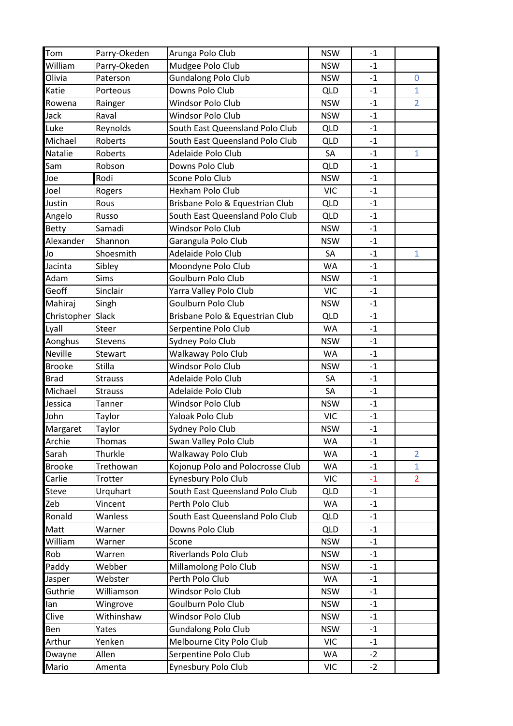| Tom               | Parry-Okeden   | Arunga Polo Club                 | <b>NSW</b> | $-1$ |                |
|-------------------|----------------|----------------------------------|------------|------|----------------|
| William           | Parry-Okeden   | Mudgee Polo Club                 | <b>NSW</b> | $-1$ |                |
| Olivia            | Paterson       | <b>Gundalong Polo Club</b>       | <b>NSW</b> | $-1$ | 0              |
| Katie             | Porteous       | Downs Polo Club                  | <b>QLD</b> | $-1$ | $\mathbf{1}$   |
| Rowena            | Rainger        | <b>Windsor Polo Club</b>         | <b>NSW</b> | $-1$ | $\overline{2}$ |
| Jack              | Raval          | Windsor Polo Club                | <b>NSW</b> | $-1$ |                |
| Luke              | Reynolds       | South East Queensland Polo Club  | <b>QLD</b> | $-1$ |                |
| Michael           | Roberts        | South East Queensland Polo Club  | QLD        | $-1$ |                |
| <b>Natalie</b>    | Roberts        | Adelaide Polo Club               | SA         | $-1$ | $\mathbf{1}$   |
| Sam               | Robson         | Downs Polo Club                  | <b>QLD</b> | $-1$ |                |
| Joe               | Rodi           | Scone Polo Club                  | <b>NSW</b> | $-1$ |                |
| Joel              | Rogers         | Hexham Polo Club                 | <b>VIC</b> | $-1$ |                |
| Justin            | Rous           | Brisbane Polo & Equestrian Club  | QLD        | $-1$ |                |
| Angelo            | Russo          | South East Queensland Polo Club  | <b>QLD</b> | $-1$ |                |
| <b>Betty</b>      | Samadi         | Windsor Polo Club                | <b>NSW</b> | $-1$ |                |
| Alexander         | Shannon        | Garangula Polo Club              | <b>NSW</b> | $-1$ |                |
| Jo                | Shoesmith      | Adelaide Polo Club               | SA         | $-1$ | $\mathbf{1}$   |
| Jacinta           | Sibley         | Moondyne Polo Club               | WA         | $-1$ |                |
| Adam              | Sims           | Goulburn Polo Club               | <b>NSW</b> | $-1$ |                |
| Geoff             | Sinclair       | Yarra Valley Polo Club           | <b>VIC</b> | $-1$ |                |
| Mahiraj           | Singh          | Goulburn Polo Club               | <b>NSW</b> | $-1$ |                |
| Christopher Slack |                | Brisbane Polo & Equestrian Club  | <b>QLD</b> | $-1$ |                |
| Lyall             | <b>Steer</b>   | Serpentine Polo Club             | WA         | $-1$ |                |
| Aonghus           | <b>Stevens</b> | Sydney Polo Club                 | <b>NSW</b> | $-1$ |                |
| <b>Neville</b>    | Stewart        | Walkaway Polo Club               | <b>WA</b>  | $-1$ |                |
| <b>Brooke</b>     | Stilla         | Windsor Polo Club                | <b>NSW</b> | $-1$ |                |
| <b>Brad</b>       | <b>Strauss</b> | Adelaide Polo Club               | SA         | $-1$ |                |
| Michael           | <b>Strauss</b> | Adelaide Polo Club               | SA         | $-1$ |                |
| Jessica           | Tanner         | Windsor Polo Club                | <b>NSW</b> | $-1$ |                |
| John              | Taylor         | Yaloak Polo Club                 | <b>VIC</b> | $-1$ |                |
| Margaret          | Taylor         | Sydney Polo Club                 | <b>NSW</b> | $-1$ |                |
| Archie            | Thomas         | Swan Valley Polo Club            | WA         | $-1$ |                |
| Sarah             | Thurkle        | Walkaway Polo Club               | WA         | $-1$ | $\overline{2}$ |
| <b>Brooke</b>     | Trethowan      | Kojonup Polo and Polocrosse Club | WA         | $-1$ | $\mathbf{1}$   |
| Carlie            | Trotter        | Eynesbury Polo Club              | <b>VIC</b> | $-1$ | $\overline{2}$ |
| <b>Steve</b>      | Urquhart       | South East Queensland Polo Club  | <b>QLD</b> | $-1$ |                |
| Zeb               | Vincent        | Perth Polo Club                  | WA         | $-1$ |                |
| Ronald            | Wanless        | South East Queensland Polo Club  | <b>QLD</b> | $-1$ |                |
| Matt              | Warner         | Downs Polo Club                  | <b>QLD</b> | $-1$ |                |
| William           | Warner         | Scone                            | <b>NSW</b> | $-1$ |                |
| Rob               | Warren         | Riverlands Polo Club             | <b>NSW</b> | $-1$ |                |
| Paddy             | Webber         | Millamolong Polo Club            | <b>NSW</b> | $-1$ |                |
| Jasper            | Webster        | Perth Polo Club                  | WA         | $-1$ |                |
| Guthrie           | Williamson     | Windsor Polo Club                | <b>NSW</b> | $-1$ |                |
| lan               | Wingrove       | Goulburn Polo Club               | <b>NSW</b> | $-1$ |                |
| Clive             | Withinshaw     | Windsor Polo Club                | <b>NSW</b> | $-1$ |                |
| Ben               | Yates          | <b>Gundalong Polo Club</b>       | <b>NSW</b> | $-1$ |                |
| Arthur            | Yenken         | Melbourne City Polo Club         | <b>VIC</b> | $-1$ |                |
| Dwayne            | Allen          | Serpentine Polo Club             | WA         | $-2$ |                |
| Mario             | Amenta         | Eynesbury Polo Club              | VIC        | $-2$ |                |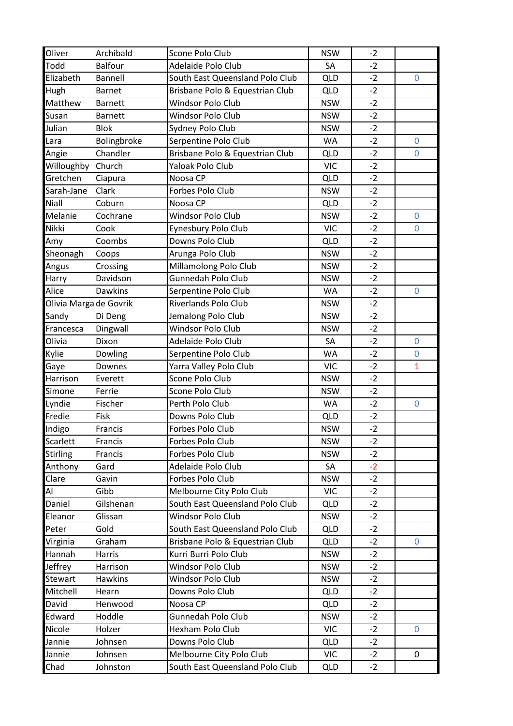| Oliver                 | Archibald      | Scone Polo Club                                     | <b>NSW</b>              | $-2$ |              |
|------------------------|----------------|-----------------------------------------------------|-------------------------|------|--------------|
| Todd                   | <b>Balfour</b> | Adelaide Polo Club                                  | SA                      | $-2$ |              |
| Elizabeth              | <b>Bannell</b> | South East Queensland Polo Club                     | QLD                     | $-2$ | $\mathbf 0$  |
| Hugh                   | <b>Barnet</b>  | Brisbane Polo & Equestrian Club                     | <b>QLD</b>              | $-2$ |              |
| Matthew                | <b>Barnett</b> | Windsor Polo Club                                   | <b>NSW</b>              | $-2$ |              |
| Susan                  | <b>Barnett</b> | Windsor Polo Club                                   | <b>NSW</b>              | $-2$ |              |
| Julian                 | <b>Blok</b>    | Sydney Polo Club                                    | <b>NSW</b>              | $-2$ |              |
| Lara                   | Bolingbroke    | Serpentine Polo Club                                | <b>WA</b>               | $-2$ | $\mathbf{0}$ |
| Angie                  | Chandler       | Brisbane Polo & Equestrian Club                     | QLD                     | $-2$ | $\mathbf{0}$ |
| Willoughby             | Church         | Yaloak Polo Club                                    | <b>VIC</b>              | $-2$ |              |
| Gretchen               | Ciapura        | Noosa CP                                            | <b>QLD</b>              | $-2$ |              |
| Sarah-Jane             | Clark          | Forbes Polo Club                                    | <b>NSW</b>              | $-2$ |              |
| <b>Niall</b>           | Coburn         | Noosa CP                                            | QLD                     | $-2$ |              |
| Melanie                | Cochrane       | Windsor Polo Club                                   | <b>NSW</b>              | $-2$ | $\mathbf{0}$ |
| Nikki                  | Cook           | Eynesbury Polo Club                                 | <b>VIC</b>              | $-2$ | 0            |
| Amy                    | Coombs         | Downs Polo Club                                     | <b>QLD</b>              | $-2$ |              |
| Sheonagh               | Coops          | Arunga Polo Club                                    | <b>NSW</b>              | $-2$ |              |
| Angus                  | Crossing       | Millamolong Polo Club                               | <b>NSW</b>              | $-2$ |              |
| Harry                  | Davidson       | Gunnedah Polo Club                                  | <b>NSW</b>              | $-2$ |              |
| Alice                  | <b>Dawkins</b> |                                                     |                         | $-2$ |              |
|                        |                | Serpentine Polo Club<br><b>Riverlands Polo Club</b> | <b>WA</b><br><b>NSW</b> | $-2$ | $\mathbf 0$  |
| Olivia Marga de Govrik |                |                                                     |                         |      |              |
| Sandy                  | Di Deng        | Jemalong Polo Club                                  | <b>NSW</b>              | $-2$ |              |
| Francesca              | Dingwall       | Windsor Polo Club                                   | <b>NSW</b>              | $-2$ |              |
| Olivia                 | Dixon          | Adelaide Polo Club                                  | SA                      | $-2$ | $\mathbf 0$  |
| Kylie                  | Dowling        | Serpentine Polo Club                                | <b>WA</b>               | $-2$ | $\mathbf 0$  |
| Gaye                   | Downes         | Yarra Valley Polo Club                              | <b>VIC</b>              | $-2$ | $\mathbf{1}$ |
| Harrison               | Everett        | Scone Polo Club                                     | <b>NSW</b>              | $-2$ |              |
| Simone                 | Ferrie         | Scone Polo Club                                     | <b>NSW</b>              | $-2$ |              |
| Lyndie                 | Fischer        | Perth Polo Club                                     | <b>WA</b>               | $-2$ | $\pmb{0}$    |
| Fredie                 | Fisk           | Downs Polo Club                                     | <b>QLD</b>              | $-2$ |              |
| Indigo                 | Francis        | Forbes Polo Club                                    | <b>NSW</b>              | $-2$ |              |
| Scarlett               | Francis        | Forbes Polo Club                                    | <b>NSW</b>              | $-2$ |              |
| <b>Stirling</b>        | Francis        | Forbes Polo Club                                    | <b>NSW</b>              | $-2$ |              |
| Anthony                | Gard           | Adelaide Polo Club                                  | SA                      | $-2$ |              |
| Clare                  | Gavin          | Forbes Polo Club                                    | <b>NSW</b>              | $-2$ |              |
| Al                     | Gibb           | Melbourne City Polo Club                            | <b>VIC</b>              | $-2$ |              |
| Daniel                 | Gilshenan      | South East Queensland Polo Club                     | <b>QLD</b>              | $-2$ |              |
| Eleanor                | Glissan        | Windsor Polo Club                                   | <b>NSW</b>              | $-2$ |              |
| Peter                  | Gold           | South East Queensland Polo Club                     | <b>QLD</b>              | $-2$ |              |
| Virginia               | Graham         | Brisbane Polo & Equestrian Club                     | <b>QLD</b>              | $-2$ | $\mathbf 0$  |
| Hannah                 | Harris         | Kurri Burri Polo Club                               | <b>NSW</b>              | $-2$ |              |
| Jeffrey                | Harrison       | Windsor Polo Club                                   | <b>NSW</b>              | $-2$ |              |
| <b>Stewart</b>         | Hawkins        | Windsor Polo Club                                   | <b>NSW</b>              | $-2$ |              |
| Mitchell               | Hearn          | Downs Polo Club                                     | <b>QLD</b>              | $-2$ |              |
| David                  | Henwood        | Noosa CP                                            | <b>QLD</b>              | $-2$ |              |
| Edward                 | Hoddle         | Gunnedah Polo Club                                  | <b>NSW</b>              | $-2$ |              |
| Nicole                 | Holzer         | Hexham Polo Club                                    | <b>VIC</b>              | $-2$ | $\mathbf 0$  |
| Jannie                 | Johnsen        | Downs Polo Club                                     | <b>QLD</b>              | $-2$ |              |
| Jannie                 | Johnsen        | Melbourne City Polo Club                            | <b>VIC</b>              | $-2$ | $\mathbf 0$  |
| Chad                   | Johnston       | South East Queensland Polo Club                     | <b>QLD</b>              | $-2$ |              |
|                        |                |                                                     |                         |      |              |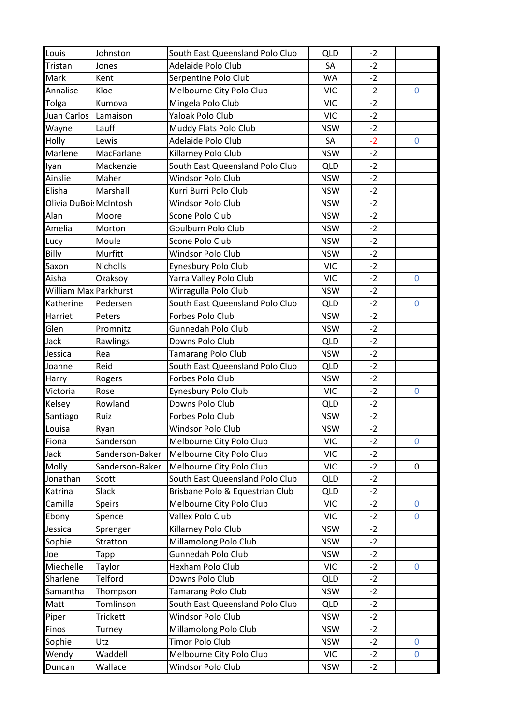| Louis                        | Johnston        | South East Queensland Polo Club | QLD        | $-2$ |                |
|------------------------------|-----------------|---------------------------------|------------|------|----------------|
| Tristan                      | Jones           | Adelaide Polo Club              | SA         | $-2$ |                |
| Mark                         | Kent            | Serpentine Polo Club            | WA         | $-2$ |                |
| Annalise                     | Kloe            | Melbourne City Polo Club        | <b>VIC</b> | $-2$ | 0              |
| Tolga                        | Kumova          | Mingela Polo Club               | <b>VIC</b> | $-2$ |                |
| Juan Carlos                  | Lamaison        | Yaloak Polo Club                | <b>VIC</b> | $-2$ |                |
| Wayne                        | Lauff           | Muddy Flats Polo Club           | <b>NSW</b> | $-2$ |                |
| Holly                        | Lewis           | Adelaide Polo Club              | SA         | $-2$ | $\mathbf 0$    |
| Marlene                      | MacFarlane      | Killarney Polo Club             | <b>NSW</b> | $-2$ |                |
| Iyan                         | Mackenzie       | South East Queensland Polo Club | <b>QLD</b> | $-2$ |                |
| Ainslie                      | Maher           | Windsor Polo Club               | <b>NSW</b> | $-2$ |                |
| Elisha                       | Marshall        | Kurri Burri Polo Club           | <b>NSW</b> | $-2$ |                |
| Olivia DuBoi: McIntosh       |                 | <b>Windsor Polo Club</b>        | <b>NSW</b> | $-2$ |                |
| Alan                         | Moore           | Scone Polo Club                 | <b>NSW</b> | $-2$ |                |
| Amelia                       | Morton          | Goulburn Polo Club              | <b>NSW</b> | $-2$ |                |
| Lucy                         | Moule           | Scone Polo Club                 | <b>NSW</b> | $-2$ |                |
| Billy                        | Murfitt         | <b>Windsor Polo Club</b>        | <b>NSW</b> | $-2$ |                |
| Saxon                        | Nicholls        | Eynesbury Polo Club             | <b>VIC</b> | $-2$ |                |
| Aisha                        | Ozaksoy         | Yarra Valley Polo Club          | <b>VIC</b> | $-2$ | $\mathbf 0$    |
| <b>William Max Parkhurst</b> |                 | Wirragulla Polo Club            | <b>NSW</b> | $-2$ |                |
| Katherine                    | Pedersen        | South East Queensland Polo Club | <b>QLD</b> | $-2$ | $\mathbf 0$    |
| Harriet                      | Peters          | Forbes Polo Club                | <b>NSW</b> | $-2$ |                |
| Glen                         | Promnitz        | <b>Gunnedah Polo Club</b>       | <b>NSW</b> | $-2$ |                |
| Jack                         | Rawlings        | Downs Polo Club                 | <b>QLD</b> | $-2$ |                |
| Jessica                      | Rea             | <b>Tamarang Polo Club</b>       | <b>NSW</b> | $-2$ |                |
| Joanne                       | Reid            | South East Queensland Polo Club | <b>QLD</b> | $-2$ |                |
| Harry                        | Rogers          | Forbes Polo Club                | <b>NSW</b> | $-2$ |                |
| Victoria                     | Rose            | Eynesbury Polo Club             | <b>VIC</b> | $-2$ | $\mathbf 0$    |
| Kelsey                       | Rowland         | Downs Polo Club                 | <b>QLD</b> | $-2$ |                |
| Santiago                     | Ruiz            | Forbes Polo Club                | <b>NSW</b> | $-2$ |                |
| Louisa                       | Ryan            | Windsor Polo Club               | <b>NSW</b> | $-2$ |                |
| Fiona                        | Sanderson       | Melbourne City Polo Club        | <b>VIC</b> | $-2$ | 0              |
| Jack                         | Sanderson-Baker | Melbourne City Polo Club        | <b>VIC</b> | $-2$ |                |
| Molly                        | Sanderson-Baker | Melbourne City Polo Club        | <b>VIC</b> | $-2$ | 0              |
| Jonathan                     | Scott           | South East Queensland Polo Club | <b>QLD</b> | $-2$ |                |
| Katrina                      | Slack           | Brisbane Polo & Equestrian Club | <b>QLD</b> | $-2$ |                |
| Camilla                      | <b>Speirs</b>   | Melbourne City Polo Club        | <b>VIC</b> | $-2$ | 0              |
| Ebony                        | Spence          | Vallex Polo Club                | <b>VIC</b> | $-2$ | $\overline{0}$ |
| Jessica                      | Sprenger        | Killarney Polo Club             | <b>NSW</b> | $-2$ |                |
| Sophie                       | <b>Stratton</b> | Millamolong Polo Club           | <b>NSW</b> | $-2$ |                |
| Joe                          | Tapp            | Gunnedah Polo Club              | <b>NSW</b> | $-2$ |                |
| Miechelle                    | Taylor          | Hexham Polo Club                | <b>VIC</b> | $-2$ | $\mathbf 0$    |
| Sharlene                     | Telford         | Downs Polo Club                 | <b>QLD</b> | $-2$ |                |
| Samantha                     | Thompson        | <b>Tamarang Polo Club</b>       | <b>NSW</b> | $-2$ |                |
| Matt                         | Tomlinson       | South East Queensland Polo Club | <b>QLD</b> | $-2$ |                |
| Piper                        | <b>Trickett</b> | Windsor Polo Club               | <b>NSW</b> | $-2$ |                |
| <b>Finos</b>                 | Turney          | Millamolong Polo Club           | <b>NSW</b> | $-2$ |                |
| Sophie                       | Utz             | <b>Timor Polo Club</b>          | <b>NSW</b> | $-2$ | 0              |
| Wendy                        | Waddell         | Melbourne City Polo Club        | <b>VIC</b> | $-2$ | $\mathbf 0$    |
| Duncan                       | Wallace         | Windsor Polo Club               | <b>NSW</b> | $-2$ |                |